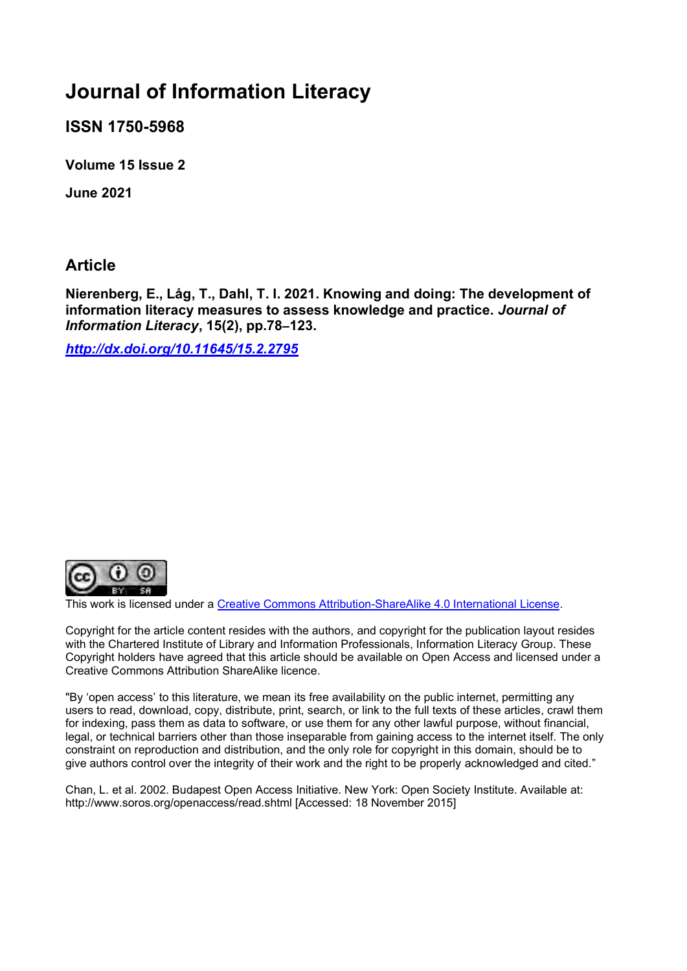# **Journal of Information Literacy**

**ISSN 1750-5968**

**Volume 15 Issue 2**

**June 2021**

**Article**

**Nierenberg, E., Låg, T., Dahl, T. I. 2021. Knowing and doing: The development of information literacy measures to assess knowledge and practice.** *Journal of Information Literacy***, 15(2), pp.78–123.**

*[http://dx.doi.org/10.11645/15.2.2795](http://dx.doi.org/10.11645/15.2.2967)*



This work is licensed under a [Creative Commons Attribution-ShareAlike](http://creativecommons.org/licenses/by-sa/4.0/) 4.0 International License.

Copyright for the article content resides with the authors, and copyright for the publication layout resides with the Chartered Institute of Library and Information Professionals, Information Literacy Group. These Copyright holders have agreed that this article should be available on Open Access and licensed under a Creative Commons Attribution ShareAlike licence.

"By 'open access' to this literature, we mean its free availability on the public internet, permitting any users to read, download, copy, distribute, print, search, or link to the full texts of these articles, crawl them for indexing, pass them as data to software, or use them for any other lawful purpose, without financial, legal, or technical barriers other than those inseparable from gaining access to the internet itself. The only constraint on reproduction and distribution, and the only role for copyright in this domain, should be to give authors control over the integrity of their work and the right to be properly acknowledged and cited."

Chan, L. et al. 2002. Budapest Open Access Initiative. New York: Open Society Institute. Available at: http://www.soros.org/openaccess/read.shtml [Accessed: 18 November 2015]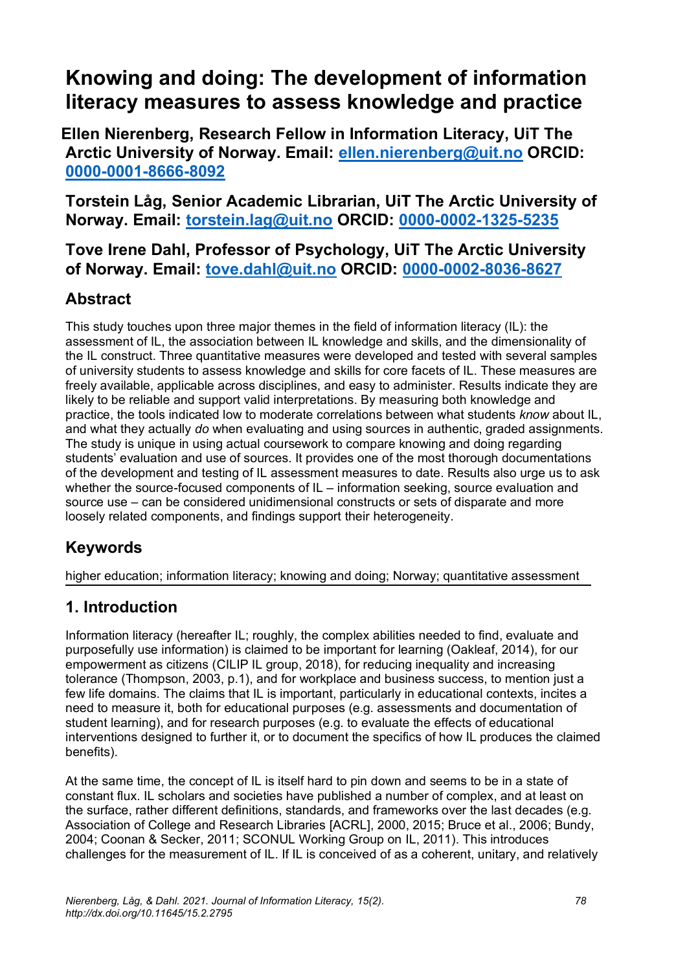# **Knowing and doing: The development of information literacy measures to assess knowledge and practice**

**Ellen Nierenberg, Research Fellow in Information Literacy, UiT The Arctic University of Norway. Email: [ellen.nierenberg@uit.no](mailto:ellen.nierenberg@uit.no) ORCID: [0000-0001-8666-8092](https://orcid.org/0000-0001-8666-8092)**

**Torstein Låg, Senior Academic Librarian, UiT The Arctic University of Norway. Email: [torstein.lag@uit.no](mailto:torstein.lag@uit.no) ORCID: [0000-0002-1325-5235](https://orcid.org/0000-0002-1325-5235)**

**Tove Irene Dahl, Professor of Psychology, UiT The Arctic University of Norway. Email: [tove.dahl@uit.no](mailto:tove.dahl@uit.no) ORCID: [0000-0002-8036-8627](https://orcid.org/0000-0002-8036-8627)**

## **Abstract**

This study touches upon three major themes in the field of information literacy (IL): the assessment of IL, the association between IL knowledge and skills, and the dimensionality of the IL construct. Three quantitative measures were developed and tested with several samples of university students to assess knowledge and skills for core facets of IL. These measures are freely available, applicable across disciplines, and easy to administer. Results indicate they are likely to be reliable and support valid interpretations. By measuring both knowledge and practice, the tools indicated low to moderate correlations between what students *know* about IL, and what they actually *do* when evaluating and using sources in authentic, graded assignments. The study is unique in using actual coursework to compare knowing and doing regarding students' evaluation and use of sources. It provides one of the most thorough documentations of the development and testing of IL assessment measures to date. Results also urge us to ask whether the source-focused components of IL – information seeking, source evaluation and source use – can be considered unidimensional constructs or sets of disparate and more loosely related components, and findings support their heterogeneity.

## **Keywords**

higher education; information literacy; knowing and doing; Norway; quantitative assessment

## **1. Introduction**

Information literacy (hereafter IL; roughly, the complex abilities needed to find, evaluate and purposefully use information) is claimed to be important for learning (Oakleaf, 2014), for our empowerment as citizens (CILIP IL group, 2018), for reducing inequality and increasing tolerance (Thompson, 2003, p.1), and for workplace and business success, to mention just a few life domains. The claims that IL is important, particularly in educational contexts, incites a need to measure it, both for educational purposes (e.g. assessments and documentation of student learning), and for research purposes (e.g. to evaluate the effects of educational interventions designed to further it, or to document the specifics of how IL produces the claimed benefits).

At the same time, the concept of IL is itself hard to pin down and seems to be in a state of constant flux. IL scholars and societies have published a number of complex, and at least on the surface, rather different definitions, standards, and frameworks over the last decades (e.g. Association of College and Research Libraries [ACRL], 2000, 2015; Bruce et al., 2006; Bundy, 2004; Coonan & Secker, 2011; SCONUL Working Group on IL, 2011). This introduces challenges for the measurement of IL. If IL is conceived of as a coherent, unitary, and relatively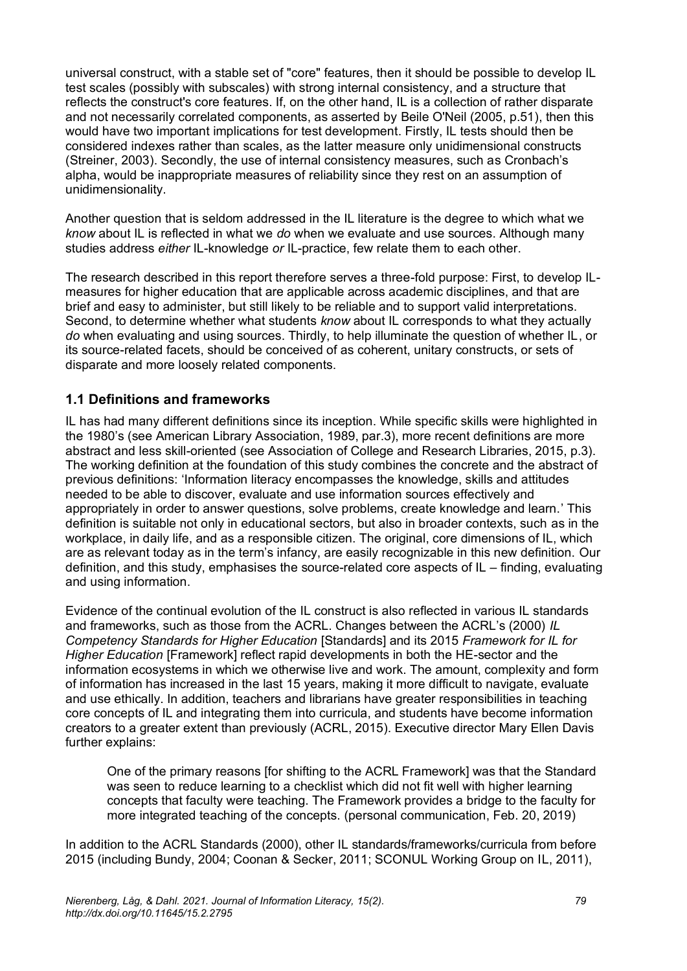universal construct, with a stable set of "core" features, then it should be possible to develop IL test scales (possibly with subscales) with strong internal consistency, and a structure that reflects the construct's core features. If, on the other hand, IL is a collection of rather disparate and not necessarily correlated components, as asserted by Beile O'Neil (2005, p.51), then this would have two important implications for test development. Firstly, IL tests should then be considered indexes rather than scales, as the latter measure only unidimensional constructs (Streiner, 2003). Secondly, the use of internal consistency measures, such as Cronbach's alpha, would be inappropriate measures of reliability since they rest on an assumption of unidimensionality.

Another question that is seldom addressed in the IL literature is the degree to which what we *know* about IL is reflected in what we *do* when we evaluate and use sources. Although many studies address *either* IL-knowledge *or* IL-practice, few relate them to each other.

The research described in this report therefore serves a three-fold purpose: First, to develop ILmeasures for higher education that are applicable across academic disciplines, and that are brief and easy to administer, but still likely to be reliable and to support valid interpretations. Second, to determine whether what students *know* about IL corresponds to what they actually *do* when evaluating and using sources. Thirdly, to help illuminate the question of whether IL, or its source-related facets, should be conceived of as coherent, unitary constructs, or sets of disparate and more loosely related components.

### **1.1 Definitions and frameworks**

IL has had many different definitions since its inception. While specific skills were highlighted in the 1980's (see American Library Association, 1989, par.3), more recent definitions are more abstract and less skill-oriented (see Association of College and Research Libraries, 2015, p.3). The working definition at the foundation of this study combines the concrete and the abstract of previous definitions: 'Information literacy encompasses the knowledge, skills and attitudes needed to be able to discover, evaluate and use information sources effectively and appropriately in order to answer questions, solve problems, create knowledge and learn.' This definition is suitable not only in educational sectors, but also in broader contexts, such as in the workplace, in daily life, and as a responsible citizen. The original, core dimensions of IL, which are as relevant today as in the term's infancy, are easily recognizable in this new definition. Our definition, and this study, emphasises the source-related core aspects of IL – finding, evaluating and using information.

Evidence of the continual evolution of the IL construct is also reflected in various IL standards and frameworks, such as those from the ACRL. Changes between the ACRL's (2000) *IL Competency Standards for Higher Education* [Standards] and its 2015 *Framework for IL for Higher Education* [Framework] reflect rapid developments in both the HE-sector and the information ecosystems in which we otherwise live and work. The amount, complexity and form of information has increased in the last 15 years, making it more difficult to navigate, evaluate and use ethically. In addition, teachers and librarians have greater responsibilities in teaching core concepts of IL and integrating them into curricula, and students have become information creators to a greater extent than previously (ACRL, 2015). Executive director Mary Ellen Davis further explains:

One of the primary reasons [for shifting to the ACRL Framework] was that the Standard was seen to reduce learning to a checklist which did not fit well with higher learning concepts that faculty were teaching. The Framework provides a bridge to the faculty for more integrated teaching of the concepts. (personal communication, Feb. 20, 2019)

In addition to the ACRL Standards (2000), other IL standards/frameworks/curricula from before 2015 (including Bundy, 2004; Coonan & Secker, 2011; SCONUL Working Group on IL, 2011),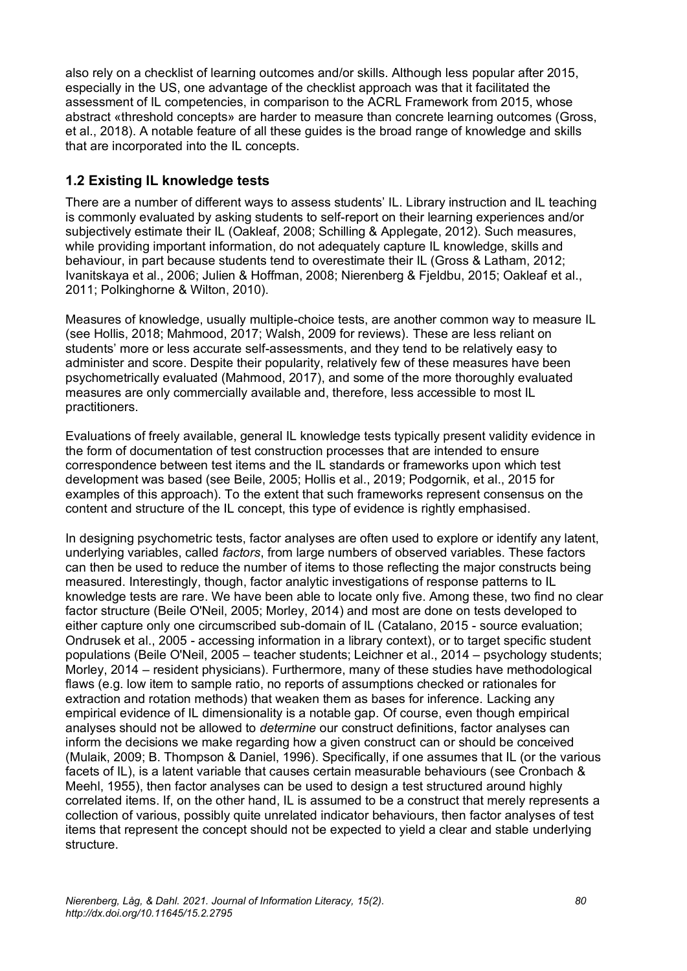also rely on a checklist of learning outcomes and/or skills. Although less popular after 2015, especially in the US, one advantage of the checklist approach was that it facilitated the assessment of IL competencies, in comparison to the ACRL Framework from 2015, whose abstract «threshold concepts» are harder to measure than concrete learning outcomes (Gross, et al., 2018). A notable feature of all these guides is the broad range of knowledge and skills that are incorporated into the IL concepts.

## **1.2 Existing IL knowledge tests**

There are a number of different ways to assess students' IL. Library instruction and IL teaching is commonly evaluated by asking students to self-report on their learning experiences and/or subjectively estimate their IL (Oakleaf, 2008; Schilling & Applegate, 2012). Such measures, while providing important information, do not adequately capture IL knowledge, skills and behaviour, in part because students tend to overestimate their IL (Gross & Latham, 2012; Ivanitskaya et al., 2006; Julien & Hoffman, 2008; Nierenberg & Fjeldbu, 2015; Oakleaf et al., 2011; Polkinghorne & Wilton, 2010).

Measures of knowledge, usually multiple-choice tests, are another common way to measure IL (see Hollis, 2018; Mahmood, 2017; Walsh, 2009 for reviews). These are less reliant on students' more or less accurate self-assessments, and they tend to be relatively easy to administer and score. Despite their popularity, relatively few of these measures have been psychometrically evaluated (Mahmood, 2017), and some of the more thoroughly evaluated measures are only commercially available and, therefore, less accessible to most IL practitioners.

Evaluations of freely available, general IL knowledge tests typically present validity evidence in the form of documentation of test construction processes that are intended to ensure correspondence between test items and the IL standards or frameworks upon which test development was based (see Beile, 2005; Hollis et al., 2019; Podgornik, et al., 2015 for examples of this approach). To the extent that such frameworks represent consensus on the content and structure of the IL concept, this type of evidence is rightly emphasised.

In designing psychometric tests, factor analyses are often used to explore or identify any latent, underlying variables, called *factors*, from large numbers of observed variables. These factors can then be used to reduce the number of items to those reflecting the major constructs being measured. Interestingly, though, factor analytic investigations of response patterns to IL knowledge tests are rare. We have been able to locate only five. Among these, two find no clear factor structure (Beile O'Neil, 2005; Morley, 2014) and most are done on tests developed to either capture only one circumscribed sub-domain of IL (Catalano, 2015 - source evaluation; Ondrusek et al., 2005 - accessing information in a library context), or to target specific student populations (Beile O'Neil, 2005 – teacher students; Leichner et al., 2014 – psychology students; Morley, 2014 – resident physicians). Furthermore, many of these studies have methodological flaws (e.g. low item to sample ratio, no reports of assumptions checked or rationales for extraction and rotation methods) that weaken them as bases for inference. Lacking any empirical evidence of IL dimensionality is a notable gap. Of course, even though empirical analyses should not be allowed to *determine* our construct definitions, factor analyses can inform the decisions we make regarding how a given construct can or should be conceived (Mulaik, 2009; B. Thompson & Daniel, 1996). Specifically, if one assumes that IL (or the various facets of IL), is a latent variable that causes certain measurable behaviours (see Cronbach & Meehl, 1955), then factor analyses can be used to design a test structured around highly correlated items. If, on the other hand, IL is assumed to be a construct that merely represents a collection of various, possibly quite unrelated indicator behaviours, then factor analyses of test items that represent the concept should not be expected to yield a clear and stable underlying structure.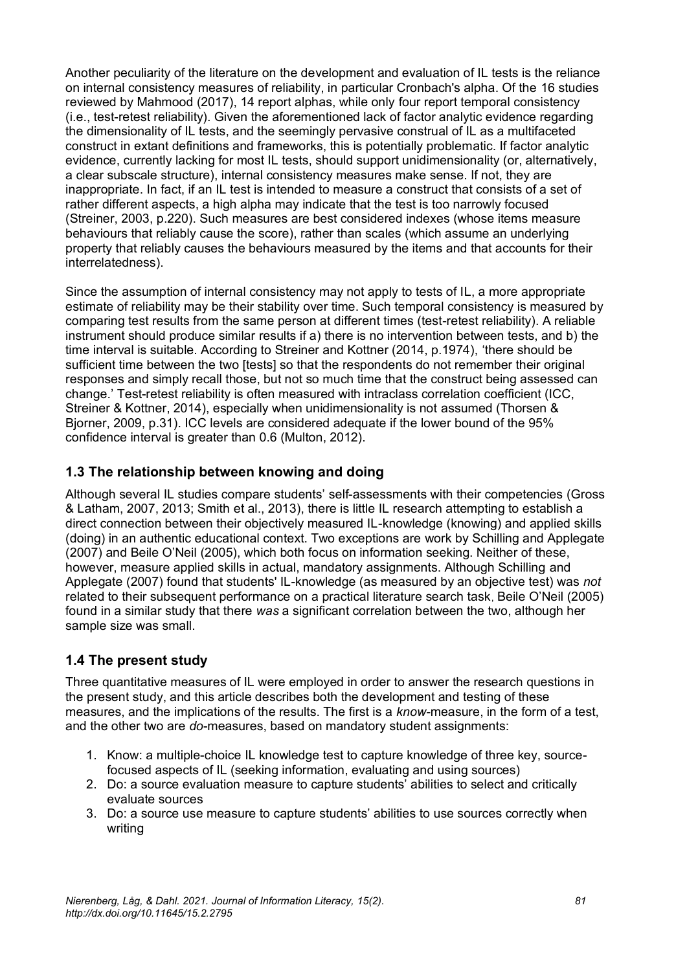Another peculiarity of the literature on the development and evaluation of IL tests is the reliance on internal consistency measures of reliability, in particular Cronbach's alpha. Of the 16 studies reviewed by Mahmood (2017), 14 report alphas, while only four report temporal consistency (i.e., test-retest reliability). Given the aforementioned lack of factor analytic evidence regarding the dimensionality of IL tests, and the seemingly pervasive construal of IL as a multifaceted construct in extant definitions and frameworks, this is potentially problematic. If factor analytic evidence, currently lacking for most IL tests, should support unidimensionality (or, alternatively, a clear subscale structure), internal consistency measures make sense. If not, they are inappropriate. In fact, if an IL test is intended to measure a construct that consists of a set of rather different aspects, a high alpha may indicate that the test is too narrowly focused (Streiner, 2003, p.220). Such measures are best considered indexes (whose items measure behaviours that reliably cause the score), rather than scales (which assume an underlying property that reliably causes the behaviours measured by the items and that accounts for their interrelatedness).

Since the assumption of internal consistency may not apply to tests of IL, a more appropriate estimate of reliability may be their stability over time. Such temporal consistency is measured by comparing test results from the same person at different times (test-retest reliability). A reliable instrument should produce similar results if a) there is no intervention between tests, and b) the time interval is suitable. According to Streiner and Kottner (2014, p.1974), 'there should be sufficient time between the two [tests] so that the respondents do not remember their original responses and simply recall those, but not so much time that the construct being assessed can change.' Test-retest reliability is often measured with intraclass correlation coefficient (ICC, Streiner & Kottner, 2014), especially when unidimensionality is not assumed (Thorsen & Bjorner, 2009, p.31). ICC levels are considered adequate if the lower bound of the 95% confidence interval is greater than 0.6 (Multon, 2012).

## **1.3 The relationship between knowing and doing**

Although several IL studies compare students' self-assessments with their competencies (Gross & Latham, 2007, 2013; Smith et al., 2013), there is little IL research attempting to establish a direct connection between their objectively measured IL-knowledge (knowing) and applied skills (doing) in an authentic educational context. Two exceptions are work by Schilling and Applegate (2007) and Beile O'Neil (2005), which both focus on information seeking. Neither of these, however, measure applied skills in actual, mandatory assignments. Although Schilling and Applegate (2007) found that students' IL-knowledge (as measured by an objective test) was *not* related to their subsequent performance on a practical literature search task, Beile O'Neil (2005) found in a similar study that there *was* a significant correlation between the two, although her sample size was small.

## **1.4 The present study**

Three quantitative measures of IL were employed in order to answer the research questions in the present study, and this article describes both the development and testing of these measures, and the implications of the results. The first is a *know*-measure, in the form of a test, and the other two are *do*-measures, based on mandatory student assignments:

- 1. Know: a multiple-choice IL knowledge test to capture knowledge of three key, sourcefocused aspects of IL (seeking information, evaluating and using sources)
- 2. Do: a source evaluation measure to capture students' abilities to select and critically evaluate sources
- 3. Do: a source use measure to capture students' abilities to use sources correctly when writing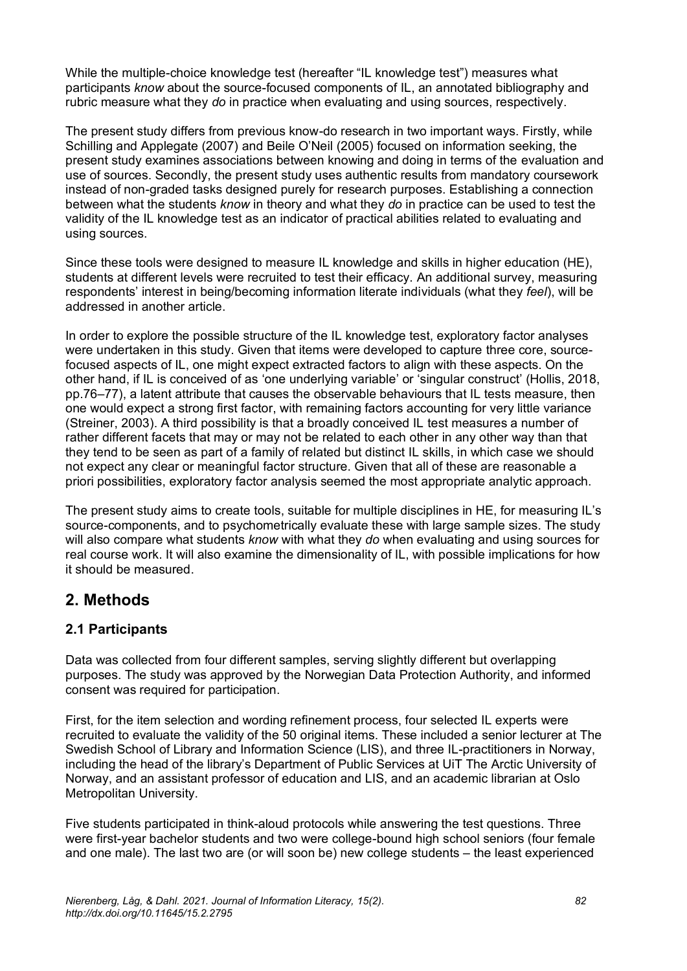While the multiple-choice knowledge test (hereafter "IL knowledge test") measures what participants *know* about the source-focused components of IL, an annotated bibliography and rubric measure what they *do* in practice when evaluating and using sources, respectively.

The present study differs from previous know-do research in two important ways. Firstly, while Schilling and Applegate (2007) and Beile O'Neil (2005) focused on information seeking, the present study examines associations between knowing and doing in terms of the evaluation and use of sources. Secondly, the present study uses authentic results from mandatory coursework instead of non-graded tasks designed purely for research purposes. Establishing a connection between what the students *know* in theory and what they *do* in practice can be used to test the validity of the IL knowledge test as an indicator of practical abilities related to evaluating and using sources.

Since these tools were designed to measure IL knowledge and skills in higher education (HE), students at different levels were recruited to test their efficacy. An additional survey, measuring respondents' interest in being/becoming information literate individuals (what they *feel*), will be addressed in another article.

In order to explore the possible structure of the IL knowledge test, exploratory factor analyses were undertaken in this study. Given that items were developed to capture three core, sourcefocused aspects of IL, one might expect extracted factors to align with these aspects. On the other hand, if IL is conceived of as 'one underlying variable' or 'singular construct' (Hollis, 2018, pp.76–77), a latent attribute that causes the observable behaviours that IL tests measure, then one would expect a strong first factor, with remaining factors accounting for very little variance (Streiner, 2003). A third possibility is that a broadly conceived IL test measures a number of rather different facets that may or may not be related to each other in any other way than that they tend to be seen as part of a family of related but distinct IL skills, in which case we should not expect any clear or meaningful factor structure. Given that all of these are reasonable a priori possibilities, exploratory factor analysis seemed the most appropriate analytic approach.

The present study aims to create tools, suitable for multiple disciplines in HE, for measuring IL's source-components, and to psychometrically evaluate these with large sample sizes. The study will also compare what students *know* with what they *do* when evaluating and using sources for real course work. It will also examine the dimensionality of IL, with possible implications for how it should be measured.

## **2. Methods**

## **2.1 Participants**

Data was collected from four different samples, serving slightly different but overlapping purposes. The study was approved by the Norwegian Data Protection Authority, and informed consent was required for participation.

First, for the item selection and wording refinement process, four selected IL experts were recruited to evaluate the validity of the 50 original items. These included a senior lecturer at The Swedish School of Library and Information Science (LIS), and three IL-practitioners in Norway, including the head of the library's Department of Public Services at UiT The Arctic University of Norway, and an assistant professor of education and LIS, and an academic librarian at Oslo Metropolitan University.

Five students participated in think-aloud protocols while answering the test questions. Three were first-year bachelor students and two were college-bound high school seniors (four female and one male). The last two are (or will soon be) new college students – the least experienced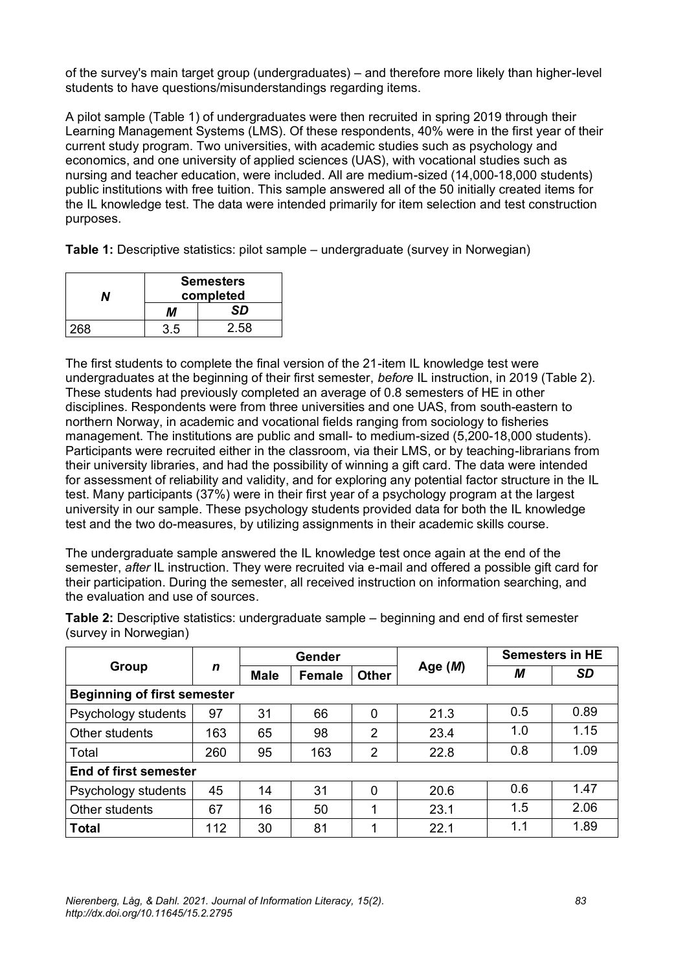of the survey's main target group (undergraduates) – and therefore more likely than higher-level students to have questions/misunderstandings regarding items.

A pilot sample (Table 1) of undergraduates were then recruited in spring 2019 through their Learning Management Systems (LMS). Of these respondents, 40% were in the first year of their current study program. Two universities, with academic studies such as psychology and economics, and one university of applied sciences (UAS), with vocational studies such as nursing and teacher education, were included. All are medium-sized (14,000-18,000 students) public institutions with free tuition. This sample answered all of the 50 initially created items for the IL knowledge test. The data were intended primarily for item selection and test construction purposes.

**Table 1:** Descriptive statistics: pilot sample – undergraduate (survey in Norwegian)

|     | <b>Semesters</b> |      |  |  |  |
|-----|------------------|------|--|--|--|
|     | completed        |      |  |  |  |
|     | M                | SD   |  |  |  |
| 268 | 35               | 2.58 |  |  |  |

The first students to complete the final version of the 21-item IL knowledge test were undergraduates at the beginning of their first semester, *before* IL instruction, in 2019 (Table 2). These students had previously completed an average of 0.8 semesters of HE in other disciplines. Respondents were from three universities and one UAS, from south-eastern to northern Norway, in academic and vocational fields ranging from sociology to fisheries management. The institutions are public and small- to medium-sized (5,200-18,000 students). Participants were recruited either in the classroom, via their LMS, or by teaching-librarians from their university libraries, and had the possibility of winning a gift card. The data were intended for assessment of reliability and validity, and for exploring any potential factor structure in the IL test. Many participants (37%) were in their first year of a psychology program at the largest university in our sample. These psychology students provided data for both the IL knowledge test and the two do-measures, by utilizing assignments in their academic skills course.

The undergraduate sample answered the IL knowledge test once again at the end of the semester, *after* IL instruction. They were recruited via e-mail and offered a possible gift card for their participation. During the semester, all received instruction on information searching, and the evaluation and use of sources.

|                                    |     | Gender      |        |                | <b>Semesters in HE</b> |     |           |
|------------------------------------|-----|-------------|--------|----------------|------------------------|-----|-----------|
| Group                              | n   | <b>Male</b> | Female | <b>Other</b>   | Age $(M)$              | М   | <b>SD</b> |
| <b>Beginning of first semester</b> |     |             |        |                |                        |     |           |
| Psychology students                | 97  | 31          | 66     | 0              | 21.3                   | 0.5 | 0.89      |
| Other students                     | 163 | 65          | 98     | 2              | 23.4                   | 1.0 | 1.15      |
| Total                              | 260 | 95          | 163    | $\overline{2}$ | 22.8                   | 0.8 | 1.09      |
| <b>End of first semester</b>       |     |             |        |                |                        |     |           |
| Psychology students                | 45  | 14          | 31     | 0              | 20.6                   | 0.6 | 1.47      |
| Other students                     | 67  | 16          | 50     | 4              | 23.1                   | 1.5 | 2.06      |
| <b>Total</b>                       | 112 | 30          | 81     | ◢              | 22.1                   | 1.1 | 1.89      |

**Table 2:** Descriptive statistics: undergraduate sample – beginning and end of first semester (survey in Norwegian)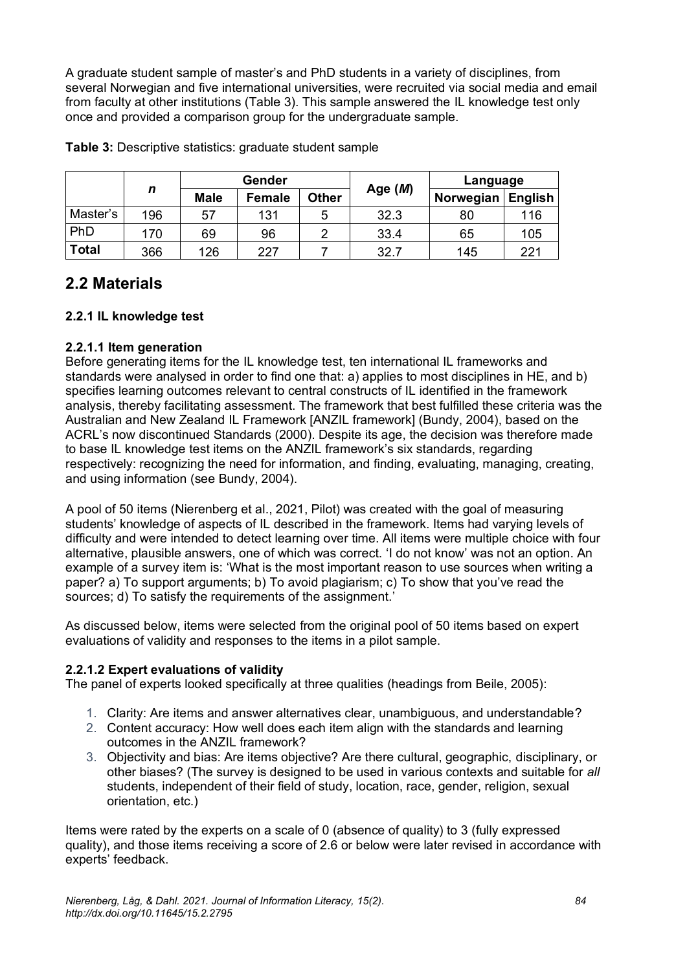A graduate student sample of master's and PhD students in a variety of disciplines, from several Norwegian and five international universities, were recruited via social media and email from faculty at other institutions (Table 3). This sample answered the IL knowledge test only once and provided a comparison group for the undergraduate sample.

|              |     |             | Gender        |              |           | Language  |                |
|--------------|-----|-------------|---------------|--------------|-----------|-----------|----------------|
|              | n   | <b>Male</b> | <b>Female</b> | <b>Other</b> | Age $(M)$ | Norwegian | <b>English</b> |
| Master's     | 196 | 57          | 131           | 5            | 32.3      | 80        | 116            |
| PhD          | 170 | 69          | 96            |              | 33.4      | 65        | 105            |
| <b>Total</b> | 366 | 126         | 227           |              | 32.7      | 145       | 221            |

**Table 3:** Descriptive statistics: graduate student sample

## **2.2 Materials**

### **2.2.1 IL knowledge test**

#### **2.2.1.1 Item generation**

Before generating items for the IL knowledge test, ten international IL frameworks and standards were analysed in order to find one that: a) applies to most disciplines in HE, and b) specifies learning outcomes relevant to central constructs of IL identified in the framework analysis, thereby facilitating assessment. The framework that best fulfilled these criteria was the Australian and New Zealand IL Framework [ANZIL framework] (Bundy, 2004), based on the ACRL's now discontinued Standards (2000). Despite its age, the decision was therefore made to base IL knowledge test items on the ANZIL framework's six standards, regarding respectively: recognizing the need for information, and finding, evaluating, managing, creating, and using information (see Bundy, 2004).

A pool of 50 items (Nierenberg et al., 2021, Pilot) was created with the goal of measuring students' knowledge of aspects of IL described in the framework. Items had varying levels of difficulty and were intended to detect learning over time. All items were multiple choice with four alternative, plausible answers, one of which was correct. 'I do not know' was not an option. An example of a survey item is: 'What is the most important reason to use sources when writing a paper? a) To support arguments; b) To avoid plagiarism; c) To show that you've read the sources; d) To satisfy the requirements of the assignment.'

As discussed below, items were selected from the original pool of 50 items based on expert evaluations of validity and responses to the items in a pilot sample.

#### **2.2.1.2 Expert evaluations of validity**

The panel of experts looked specifically at three qualities (headings from Beile, 2005):

- 1. Clarity: Are items and answer alternatives clear, unambiguous, and understandable?
- 2. Content accuracy: How well does each item align with the standards and learning outcomes in the ANZIL framework?
- 3. Objectivity and bias: Are items objective? Are there cultural, geographic, disciplinary, or other biases? (The survey is designed to be used in various contexts and suitable for *all* students, independent of their field of study, location, race, gender, religion, sexual orientation, etc.)

Items were rated by the experts on a scale of 0 (absence of quality) to 3 (fully expressed quality), and those items receiving a score of 2.6 or below were later revised in accordance with experts' feedback.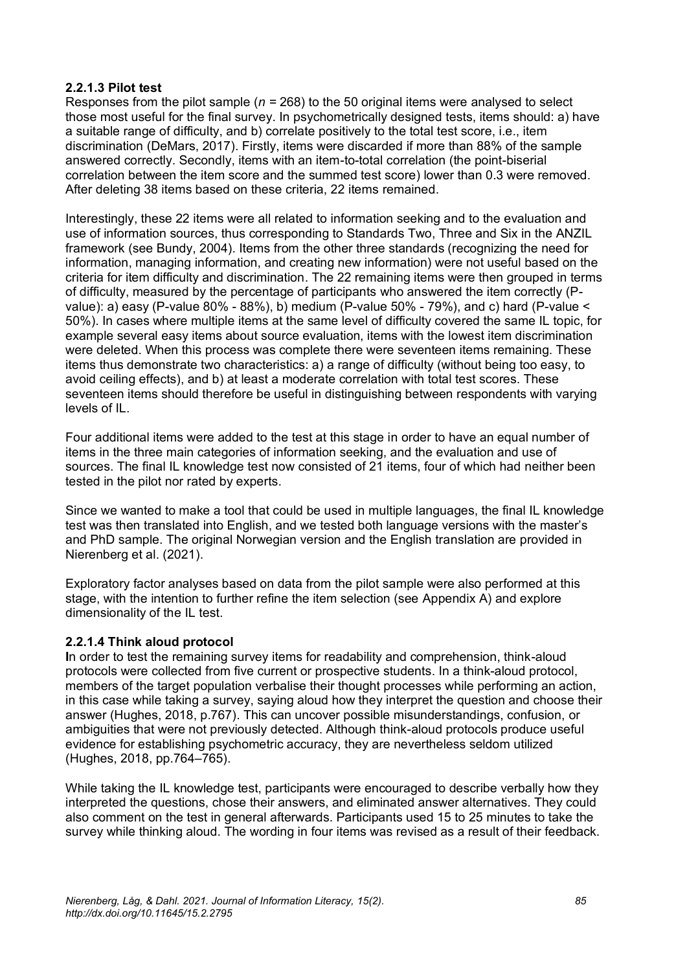#### **2.2.1.3 Pilot test**

Responses from the pilot sample (*n =* 268) to the 50 original items were analysed to select those most useful for the final survey. In psychometrically designed tests, items should: a) have a suitable range of difficulty, and b) correlate positively to the total test score, i.e., item discrimination (DeMars, 2017). Firstly, items were discarded if more than 88% of the sample answered correctly. Secondly, items with an item-to-total correlation (the point-biserial correlation between the item score and the summed test score) lower than 0.3 were removed. After deleting 38 items based on these criteria, 22 items remained.

Interestingly, these 22 items were all related to information seeking and to the evaluation and use of information sources, thus corresponding to Standards Two, Three and Six in the ANZIL framework (see Bundy, 2004). Items from the other three standards (recognizing the need for information, managing information, and creating new information) were not useful based on the criteria for item difficulty and discrimination. The 22 remaining items were then grouped in terms of difficulty, measured by the percentage of participants who answered the item correctly (Pvalue): a) easy (P-value 80% - 88%), b) medium (P-value 50% - 79%), and c) hard (P-value < 50%). In cases where multiple items at the same level of difficulty covered the same IL topic, for example several easy items about source evaluation, items with the lowest item discrimination were deleted. When this process was complete there were seventeen items remaining. These items thus demonstrate two characteristics: a) a range of difficulty (without being too easy, to avoid ceiling effects), and b) at least a moderate correlation with total test scores. These seventeen items should therefore be useful in distinguishing between respondents with varying levels of IL.

Four additional items were added to the test at this stage in order to have an equal number of items in the three main categories of information seeking, and the evaluation and use of sources. The final IL knowledge test now consisted of 21 items, four of which had neither been tested in the pilot nor rated by experts.

Since we wanted to make a tool that could be used in multiple languages, the final IL knowledge test was then translated into English, and we tested both language versions with the master's and PhD sample. The original Norwegian version and the English translation are provided in Nierenberg et al. (2021).

Exploratory factor analyses based on data from the pilot sample were also performed at this stage, with the intention to further refine the item selection (see Appendix A) and explore dimensionality of the IL test.

#### **2.2.1.4 Think aloud protocol**

**I**n order to test the remaining survey items for readability and comprehension, think-aloud protocols were collected from five current or prospective students. In a think-aloud protocol, members of the target population verbalise their thought processes while performing an action, in this case while taking a survey, saying aloud how they interpret the question and choose their answer (Hughes, 2018, p.767). This can uncover possible misunderstandings, confusion, or ambiguities that were not previously detected. Although think-aloud protocols produce useful evidence for establishing psychometric accuracy, they are nevertheless seldom utilized (Hughes, 2018, pp.764–765).

While taking the IL knowledge test, participants were encouraged to describe verbally how they interpreted the questions, chose their answers, and eliminated answer alternatives. They could also comment on the test in general afterwards. Participants used 15 to 25 minutes to take the survey while thinking aloud. The wording in four items was revised as a result of their feedback.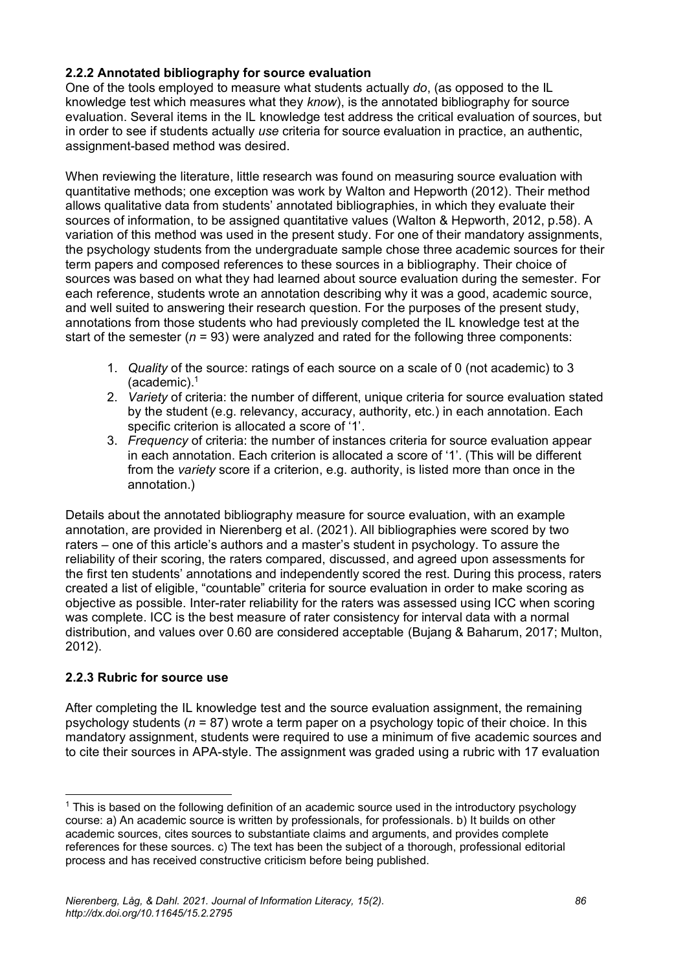#### **2.2.2 Annotated bibliography for source evaluation**

One of the tools employed to measure what students actually *do*, (as opposed to the IL knowledge test which measures what they *know*), is the annotated bibliography for source evaluation. Several items in the IL knowledge test address the critical evaluation of sources, but in order to see if students actually *use* criteria for source evaluation in practice, an authentic, assignment-based method was desired.

When reviewing the literature, little research was found on measuring source evaluation with quantitative methods; one exception was work by Walton and Hepworth (2012). Their method allows qualitative data from students' annotated bibliographies, in which they evaluate their sources of information, to be assigned quantitative values (Walton & Hepworth, 2012, p.58). A variation of this method was used in the present study. For one of their mandatory assignments, the psychology students from the undergraduate sample chose three academic sources for their term papers and composed references to these sources in a bibliography. Their choice of sources was based on what they had learned about source evaluation during the semester. For each reference, students wrote an annotation describing why it was a good, academic source, and well suited to answering their research question. For the purposes of the present study, annotations from those students who had previously completed the IL knowledge test at the start of the semester (*n* = 93) were analyzed and rated for the following three components:

- 1. *Quality* of the source: ratings of each source on a scale of 0 (not academic) to 3 (academic).<sup>1</sup>
- 2. *Variety* of criteria: the number of different, unique criteria for source evaluation stated by the student (e.g. relevancy, accuracy, authority, etc.) in each annotation. Each specific criterion is allocated a score of '1'.
- 3. *Frequency* of criteria: the number of instances criteria for source evaluation appear in each annotation. Each criterion is allocated a score of '1'. (This will be different from the *variety* score if a criterion, e.g. authority, is listed more than once in the annotation.)

Details about the annotated bibliography measure for source evaluation, with an example annotation, are provided in Nierenberg et al. (2021). All bibliographies were scored by two raters – one of this article's authors and a master's student in psychology. To assure the reliability of their scoring, the raters compared, discussed, and agreed upon assessments for the first ten students' annotations and independently scored the rest. During this process, raters created a list of eligible, "countable" criteria for source evaluation in order to make scoring as objective as possible. Inter-rater reliability for the raters was assessed using ICC when scoring was complete. ICC is the best measure of rater consistency for interval data with a normal distribution, and values over 0.60 are considered acceptable (Bujang & Baharum, 2017; Multon, 2012).

#### **2.2.3 Rubric for source use**

After completing the IL knowledge test and the source evaluation assignment, the remaining psychology students (*n* = 87) wrote a term paper on a psychology topic of their choice. In this mandatory assignment, students were required to use a minimum of five academic sources and to cite their sources in APA-style. The assignment was graded using a rubric with 17 evaluation

<sup>&</sup>lt;sup>1</sup> This is based on the following definition of an academic source used in the introductory psychology course: a) An academic source is written by professionals, for professionals. b) It builds on other academic sources, cites sources to substantiate claims and arguments, and provides complete references for these sources. c) The text has been the subject of a thorough, professional editorial process and has received constructive criticism before being published.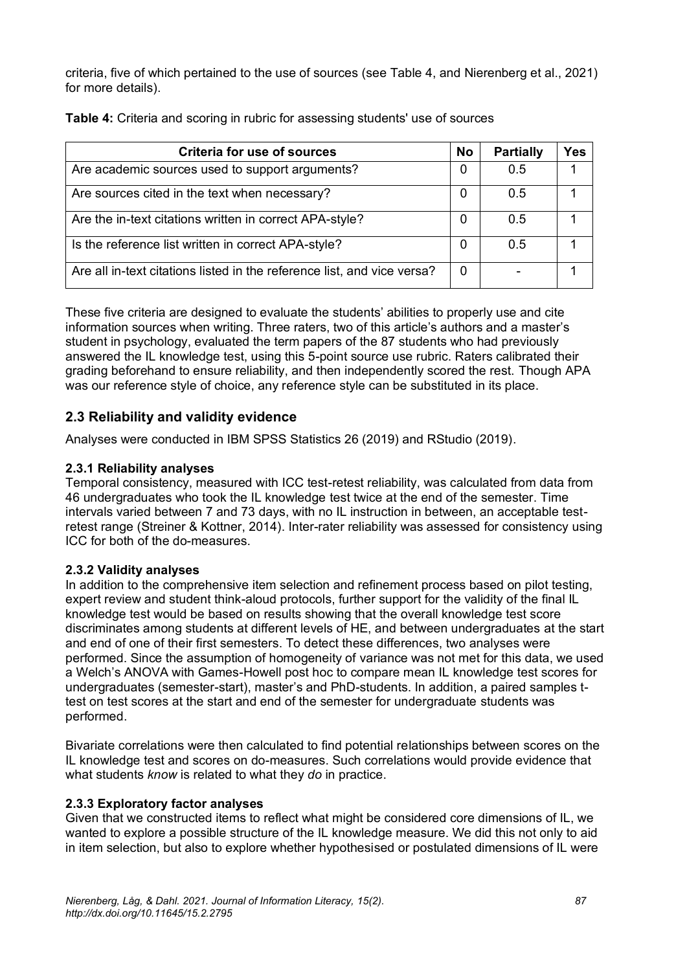criteria, five of which pertained to the use of sources (see Table 4, and Nierenberg et al., 2021) for more details).

| <b>Criteria for use of sources</b>                                      | <b>No</b> | <b>Partially</b> | Yes |
|-------------------------------------------------------------------------|-----------|------------------|-----|
| Are academic sources used to support arguments?                         | 0         | 0.5              |     |
| Are sources cited in the text when necessary?                           | 0         | 0.5              |     |
| Are the in-text citations written in correct APA-style?                 | 0         | 0.5              |     |
| Is the reference list written in correct APA-style?                     | 0         | 0.5              |     |
| Are all in-text citations listed in the reference list, and vice versa? | 0         |                  |     |

**Table 4:** Criteria and scoring in rubric for assessing students' use of sources

These five criteria are designed to evaluate the students' abilities to properly use and cite information sources when writing. Three raters, two of this article's authors and a master's student in psychology, evaluated the term papers of the 87 students who had previously answered the IL knowledge test, using this 5-point source use rubric. Raters calibrated their grading beforehand to ensure reliability, and then independently scored the rest. Though APA was our reference style of choice, any reference style can be substituted in its place.

## **2.3 Reliability and validity evidence**

Analyses were conducted in IBM SPSS Statistics 26 (2019) and RStudio (2019).

#### **2.3.1 Reliability analyses**

Temporal consistency, measured with ICC test-retest reliability, was calculated from data from 46 undergraduates who took the IL knowledge test twice at the end of the semester. Time intervals varied between 7 and 73 days, with no IL instruction in between, an acceptable testretest range (Streiner & Kottner, 2014). Inter-rater reliability was assessed for consistency using ICC for both of the do-measures.

#### **2.3.2 Validity analyses**

In addition to the comprehensive item selection and refinement process based on pilot testing, expert review and student think-aloud protocols, further support for the validity of the final IL knowledge test would be based on results showing that the overall knowledge test score discriminates among students at different levels of HE, and between undergraduates at the start and end of one of their first semesters. To detect these differences, two analyses were performed. Since the assumption of homogeneity of variance was not met for this data, we used a Welch's ANOVA with Games-Howell post hoc to compare mean IL knowledge test scores for undergraduates (semester-start), master's and PhD-students. In addition, a paired samples ttest on test scores at the start and end of the semester for undergraduate students was performed.

Bivariate correlations were then calculated to find potential relationships between scores on the IL knowledge test and scores on do-measures. Such correlations would provide evidence that what students *know* is related to what they *do* in practice.

#### **2.3.3 Exploratory factor analyses**

Given that we constructed items to reflect what might be considered core dimensions of IL, we wanted to explore a possible structure of the IL knowledge measure. We did this not only to aid in item selection, but also to explore whether hypothesised or postulated dimensions of IL were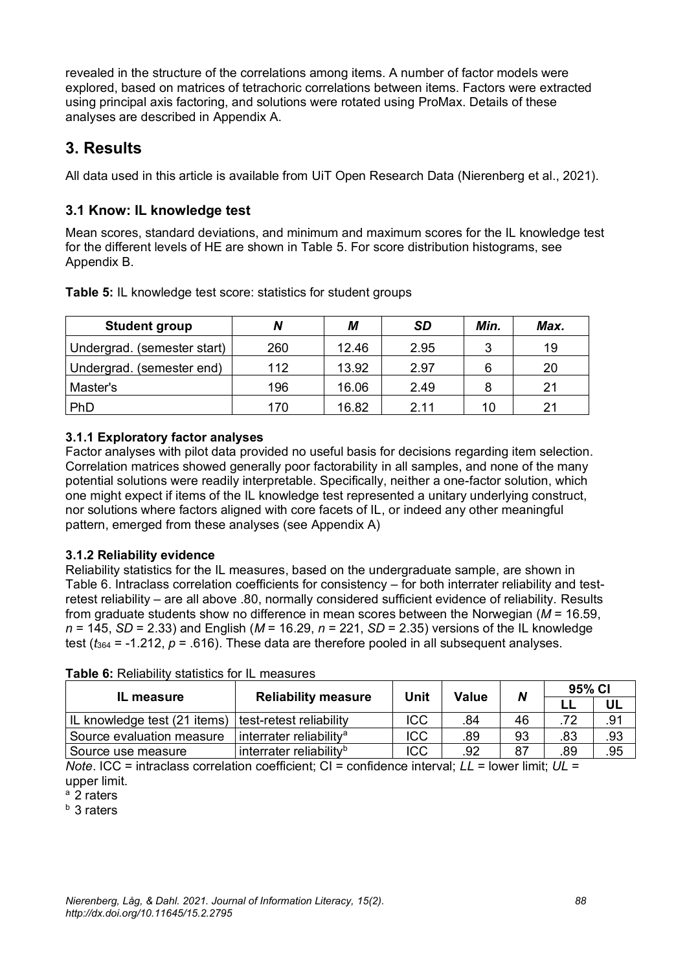revealed in the structure of the correlations among items. A number of factor models were explored, based on matrices of tetrachoric correlations between items. Factors were extracted using principal axis factoring, and solutions were rotated using ProMax. Details of these analyses are described in Appendix A.

## **3. Results**

All data used in this article is available from UiT Open Research Data (Nierenberg et al., 2021).

## **3.1 Know: IL knowledge test**

Mean scores, standard deviations, and minimum and maximum scores for the IL knowledge test for the different levels of HE are shown in Table 5. For score distribution histograms, see Appendix B.

| <b>Student group</b>        | N   | М     | <b>SD</b> | Min. | Max. |
|-----------------------------|-----|-------|-----------|------|------|
| Undergrad. (semester start) | 260 | 12.46 | 2.95      | ົ    | 19   |
| Undergrad. (semester end)   | 112 | 13.92 | 2.97      | 6    | 20   |
| Master's                    | 196 | 16.06 | 2.49      | 8    | 21   |
| PhD                         | 170 | 16.82 | 2.11      | 10   | 21   |

**Table 5:** IL knowledge test score: statistics for student groups

## **3.1.1 Exploratory factor analyses**

Factor analyses with pilot data provided no useful basis for decisions regarding item selection. Correlation matrices showed generally poor factorability in all samples, and none of the many potential solutions were readily interpretable. Specifically, neither a one-factor solution, which one might expect if items of the IL knowledge test represented a unitary underlying construct, nor solutions where factors aligned with core facets of IL, or indeed any other meaningful pattern, emerged from these analyses (see Appendix A)

## **3.1.2 Reliability evidence**

Reliability statistics for the IL measures, based on the undergraduate sample, are shown in Table 6. Intraclass correlation coefficients for consistency – for both interrater reliability and testretest reliability – are all above .80, normally considered sufficient evidence of reliability. Results from graduate students show no difference in mean scores between the Norwegian (*M* = 16.59, *n* = 145, *SD* = 2.33) and English (*M* = 16.29, *n* = 221, *SD* = 2.35) versions of the IL knowledge test  $(t_{364} = -1.212, p = .616)$ . These data are therefore pooled in all subsequent analyses.

| <b>IL measure</b>            | <b>Reliability measure</b>          | Unit       | Value | N  | 95% CI |     |
|------------------------------|-------------------------------------|------------|-------|----|--------|-----|
|                              |                                     |            |       |    |        | UL  |
| IL knowledge test (21 items) | test-retest reliability             | ICC        | .84   | 46 | .72    | .91 |
| Source evaluation measure    | interrater reliability <sup>a</sup> | ICC        | .89   | 93 | .83    | .93 |
| Source use measure           | interrater reliability <sup>b</sup> | <b>ICC</b> | .92   | 87 | .89    | .95 |

**Table 6:** Reliability statistics for IL measures

*Note*. ICC = intraclass correlation coefficient; CI = confidence interval; *LL* = lower limit; *UL* = upper limit.

 $a$  2 raters

b 3 raters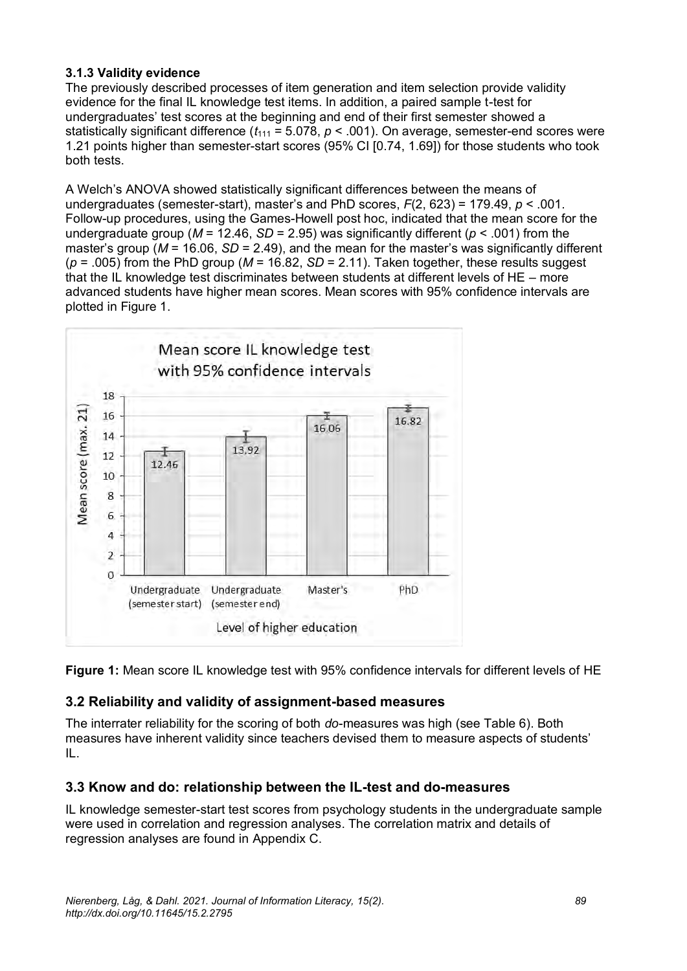#### **3.1.3 Validity evidence**

The previously described processes of item generation and item selection provide validity evidence for the final IL knowledge test items. In addition, a paired sample t-test for undergraduates' test scores at the beginning and end of their first semester showed a statistically significant difference  $(t_{111} = 5.078, p < .001)$ . On average, semester-end scores were 1.21 points higher than semester-start scores (95% CI [0.74, 1.69]) for those students who took both tests.

A Welch's ANOVA showed statistically significant differences between the means of undergraduates (semester-start), master's and PhD scores, *F*(2, 623) = 179.49, *p* < .001. Follow-up procedures, using the Games-Howell post hoc, indicated that the mean score for the undergraduate group (*M* = 12.46, *SD* = 2.95) was significantly different (*p* < .001) from the master's group ( $M = 16.06$ ,  $SD = 2.49$ ), and the mean for the master's was significantly different  $(p = .005)$  from the PhD group ( $M = 16.82$ ,  $SD = 2.11$ ). Taken together, these results suggest that the IL knowledge test discriminates between students at different levels of HE – more advanced students have higher mean scores. Mean scores with 95% confidence intervals are plotted in Figure 1.



**Figure 1:** Mean score IL knowledge test with 95% confidence intervals for different levels of HE

## **3.2 Reliability and validity of assignment-based measures**

The interrater reliability for the scoring of both *do*-measures was high (see Table 6). Both measures have inherent validity since teachers devised them to measure aspects of students' IL.

#### **3.3 Know and do: relationship between the IL-test and do-measures**

IL knowledge semester-start test scores from psychology students in the undergraduate sample were used in correlation and regression analyses. The correlation matrix and details of regression analyses are found in Appendix C.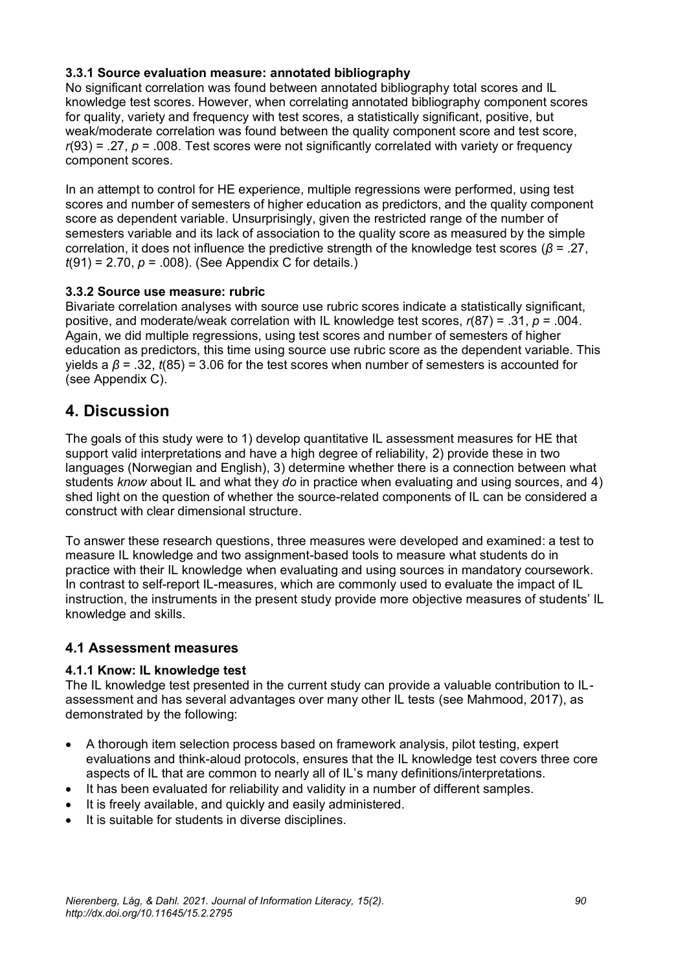#### **3.3.1 Source evaluation measure: annotated bibliography**

No significant correlation was found between annotated bibliography total scores and IL knowledge test scores. However, when correlating annotated bibliography component scores for quality, variety and frequency with test scores, a statistically significant, positive, but weak/moderate correlation was found between the quality component score and test score,  $r(93)$  = .27,  $p = 0.008$ . Test scores were not significantly correlated with variety or frequency component scores.

In an attempt to control for HE experience, multiple regressions were performed, using test scores and number of semesters of higher education as predictors, and the quality component score as dependent variable. Unsurprisingly, given the restricted range of the number of semesters variable and its lack of association to the quality score as measured by the simple correlation, it does not influence the predictive strength of the knowledge test scores (*β* = .27, *t*(91) = 2.70, *p* = .008). (See Appendix C for details.)

#### **3.3.2 Source use measure: rubric**

Bivariate correlation analyses with source use rubric scores indicate a statistically significant, positive, and moderate/weak correlation with IL knowledge test scores, *r*(87) = .31, *p* = .004. Again, we did multiple regressions, using test scores and number of semesters of higher education as predictors, this time using source use rubric score as the dependent variable. This yields a *β* = .32, *t*(85) = 3.06 for the test scores when number of semesters is accounted for (see Appendix C).

## **4. Discussion**

The goals of this study were to 1) develop quantitative IL assessment measures for HE that support valid interpretations and have a high degree of reliability, 2) provide these in two languages (Norwegian and English), 3) determine whether there is a connection between what students *know* about IL and what they *do* in practice when evaluating and using sources, and 4) shed light on the question of whether the source-related components of IL can be considered a construct with clear dimensional structure.

To answer these research questions, three measures were developed and examined: a test to measure IL knowledge and two assignment-based tools to measure what students do in practice with their IL knowledge when evaluating and using sources in mandatory coursework. In contrast to self-report IL-measures, which are commonly used to evaluate the impact of IL instruction, the instruments in the present study provide more objective measures of students' IL knowledge and skills.

#### **4.1 Assessment measures**

#### **4.1.1 Know: IL knowledge test**

The IL knowledge test presented in the current study can provide a valuable contribution to ILassessment and has several advantages over many other IL tests (see Mahmood, 2017), as demonstrated by the following:

- A thorough item selection process based on framework analysis, pilot testing, expert evaluations and think-aloud protocols, ensures that the IL knowledge test covers three core aspects of IL that are common to nearly all of IL's many definitions/interpretations.
- It has been evaluated for reliability and validity in a number of different samples.
- It is freely available, and quickly and easily administered.
- It is suitable for students in diverse disciplines.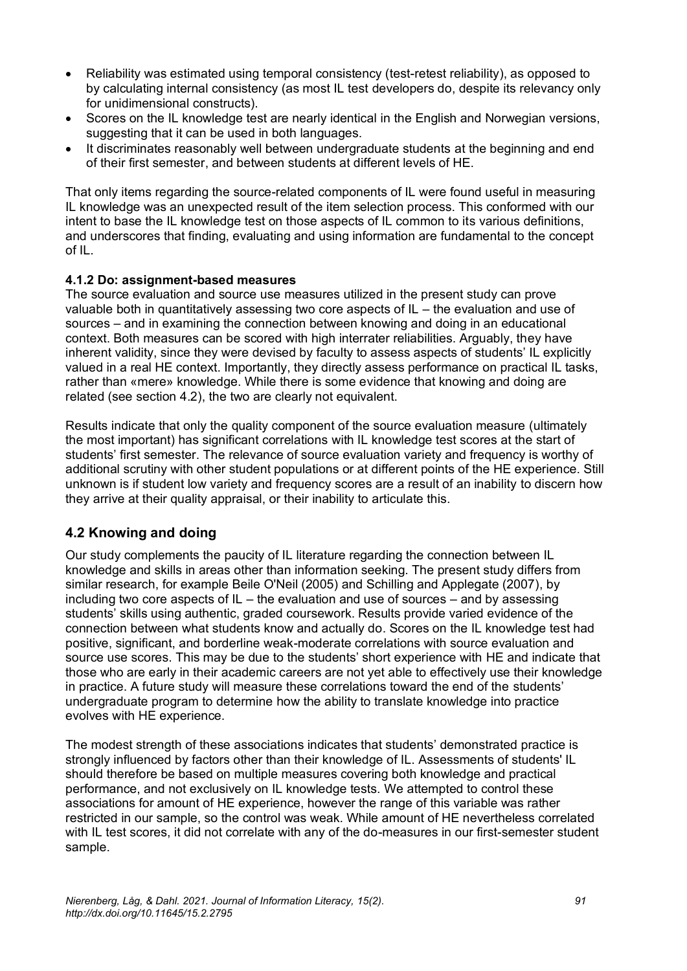- Reliability was estimated using temporal consistency (test-retest reliability), as opposed to by calculating internal consistency (as most IL test developers do, despite its relevancy only for unidimensional constructs).
- Scores on the IL knowledge test are nearly identical in the English and Norwegian versions, suggesting that it can be used in both languages.
- It discriminates reasonably well between undergraduate students at the beginning and end of their first semester, and between students at different levels of HE.

That only items regarding the source-related components of IL were found useful in measuring IL knowledge was an unexpected result of the item selection process. This conformed with our intent to base the IL knowledge test on those aspects of IL common to its various definitions, and underscores that finding, evaluating and using information are fundamental to the concept of IL.

#### **4.1.2 Do: assignment-based measures**

The source evaluation and source use measures utilized in the present study can prove valuable both in quantitatively assessing two core aspects of IL – the evaluation and use of sources – and in examining the connection between knowing and doing in an educational context. Both measures can be scored with high interrater reliabilities. Arguably, they have inherent validity, since they were devised by faculty to assess aspects of students' IL explicitly valued in a real HE context. Importantly, they directly assess performance on practical IL tasks, rather than «mere» knowledge. While there is some evidence that knowing and doing are related (see section 4.2), the two are clearly not equivalent.

Results indicate that only the quality component of the source evaluation measure (ultimately the most important) has significant correlations with IL knowledge test scores at the start of students' first semester. The relevance of source evaluation variety and frequency is worthy of additional scrutiny with other student populations or at different points of the HE experience. Still unknown is if student low variety and frequency scores are a result of an inability to discern how they arrive at their quality appraisal, or their inability to articulate this.

## **4.2 Knowing and doing**

Our study complements the paucity of IL literature regarding the connection between IL knowledge and skills in areas other than information seeking. The present study differs from similar research, for example Beile O'Neil (2005) and Schilling and Applegate (2007), by including two core aspects of IL – the evaluation and use of sources – and by assessing students' skills using authentic, graded coursework. Results provide varied evidence of the connection between what students know and actually do. Scores on the IL knowledge test had positive, significant, and borderline weak-moderate correlations with source evaluation and source use scores. This may be due to the students' short experience with HE and indicate that those who are early in their academic careers are not yet able to effectively use their knowledge in practice. A future study will measure these correlations toward the end of the students' undergraduate program to determine how the ability to translate knowledge into practice evolves with HE experience.

The modest strength of these associations indicates that students' demonstrated practice is strongly influenced by factors other than their knowledge of IL. Assessments of students' IL should therefore be based on multiple measures covering both knowledge and practical performance, and not exclusively on IL knowledge tests. We attempted to control these associations for amount of HE experience, however the range of this variable was rather restricted in our sample, so the control was weak. While amount of HE nevertheless correlated with IL test scores, it did not correlate with any of the do-measures in our first-semester student sample.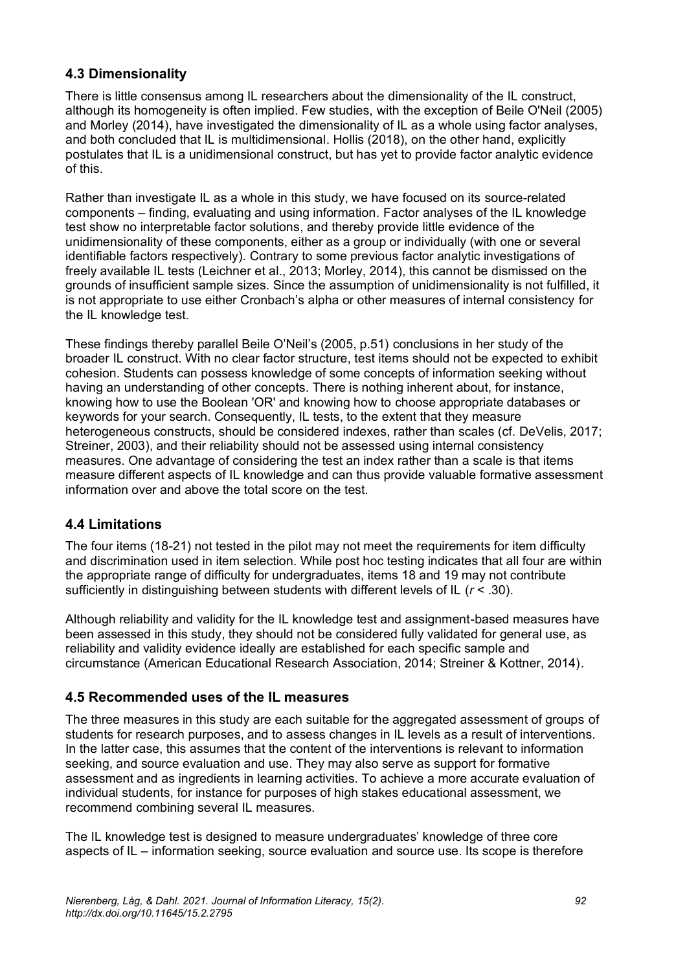### **4.3 Dimensionality**

There is little consensus among IL researchers about the dimensionality of the IL construct, although its homogeneity is often implied. Few studies, with the exception of Beile O'Neil (2005) and Morley (2014), have investigated the dimensionality of IL as a whole using factor analyses, and both concluded that IL is multidimensional. Hollis (2018), on the other hand, explicitly postulates that IL is a unidimensional construct, but has yet to provide factor analytic evidence of this.

Rather than investigate IL as a whole in this study, we have focused on its source-related components – finding, evaluating and using information. Factor analyses of the IL knowledge test show no interpretable factor solutions, and thereby provide little evidence of the unidimensionality of these components, either as a group or individually (with one or several identifiable factors respectively). Contrary to some previous factor analytic investigations of freely available IL tests (Leichner et al., 2013; Morley, 2014), this cannot be dismissed on the grounds of insufficient sample sizes. Since the assumption of unidimensionality is not fulfilled, it is not appropriate to use either Cronbach's alpha or other measures of internal consistency for the IL knowledge test.

These findings thereby parallel Beile O'Neil's (2005, p.51) conclusions in her study of the broader IL construct. With no clear factor structure, test items should not be expected to exhibit cohesion. Students can possess knowledge of some concepts of information seeking without having an understanding of other concepts. There is nothing inherent about, for instance, knowing how to use the Boolean 'OR' and knowing how to choose appropriate databases or keywords for your search. Consequently, IL tests, to the extent that they measure heterogeneous constructs, should be considered indexes, rather than scales (cf. DeVelis, 2017; Streiner, 2003), and their reliability should not be assessed using internal consistency measures. One advantage of considering the test an index rather than a scale is that items measure different aspects of IL knowledge and can thus provide valuable formative assessment information over and above the total score on the test.

#### **4.4 Limitations**

The four items (18-21) not tested in the pilot may not meet the requirements for item difficulty and discrimination used in item selection. While post hoc testing indicates that all four are within the appropriate range of difficulty for undergraduates, items 18 and 19 may not contribute sufficiently in distinguishing between students with different levels of IL (*r* < .30).

Although reliability and validity for the IL knowledge test and assignment-based measures have been assessed in this study, they should not be considered fully validated for general use, as reliability and validity evidence ideally are established for each specific sample and circumstance (American Educational Research Association, 2014; Streiner & Kottner, 2014).

#### **4.5 Recommended uses of the IL measures**

The three measures in this study are each suitable for the aggregated assessment of groups of students for research purposes, and to assess changes in IL levels as a result of interventions. In the latter case, this assumes that the content of the interventions is relevant to information seeking, and source evaluation and use. They may also serve as support for formative assessment and as ingredients in learning activities. To achieve a more accurate evaluation of individual students, for instance for purposes of high stakes educational assessment, we recommend combining several IL measures.

The IL knowledge test is designed to measure undergraduates' knowledge of three core aspects of IL – information seeking, source evaluation and source use. Its scope is therefore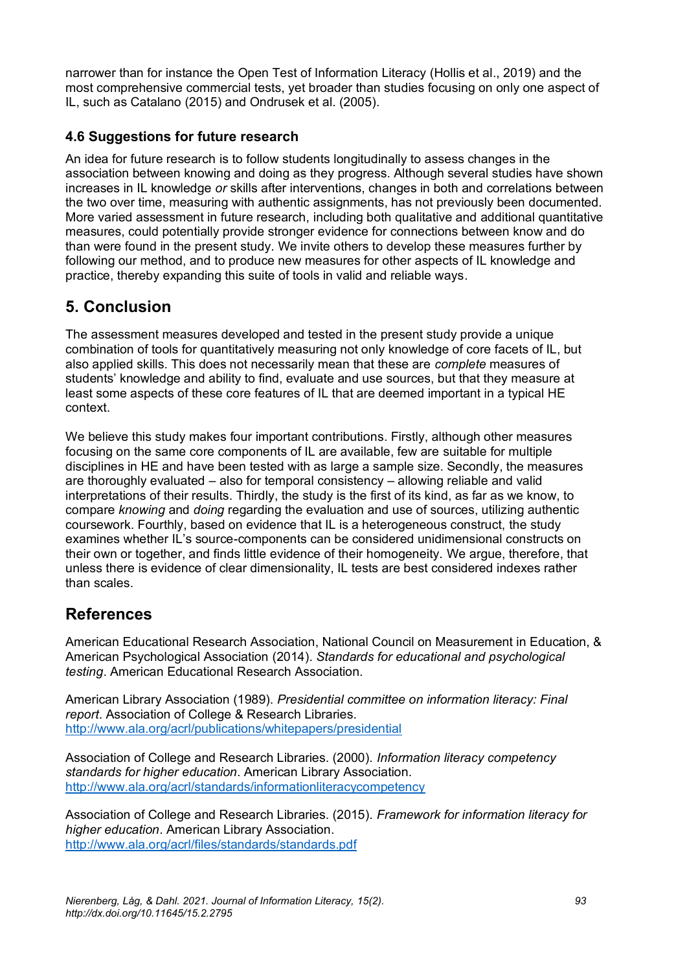narrower than for instance the Open Test of Information Literacy (Hollis et al., 2019) and the most comprehensive commercial tests, yet broader than studies focusing on only one aspect of IL, such as Catalano (2015) and Ondrusek et al. (2005).

## **4.6 Suggestions for future research**

An idea for future research is to follow students longitudinally to assess changes in the association between knowing and doing as they progress. Although several studies have shown increases in IL knowledge *or* skills after interventions, changes in both and correlations between the two over time, measuring with authentic assignments, has not previously been documented. More varied assessment in future research, including both qualitative and additional quantitative measures, could potentially provide stronger evidence for connections between know and do than were found in the present study. We invite others to develop these measures further by following our method, and to produce new measures for other aspects of IL knowledge and practice, thereby expanding this suite of tools in valid and reliable ways.

## **5. Conclusion**

The assessment measures developed and tested in the present study provide a unique combination of tools for quantitatively measuring not only knowledge of core facets of IL, but also applied skills. This does not necessarily mean that these are *complete* measures of students' knowledge and ability to find, evaluate and use sources, but that they measure at least some aspects of these core features of IL that are deemed important in a typical HE context.

We believe this study makes four important contributions. Firstly, although other measures focusing on the same core components of IL are available, few are suitable for multiple disciplines in HE and have been tested with as large a sample size. Secondly, the measures are thoroughly evaluated – also for temporal consistency – allowing reliable and valid interpretations of their results. Thirdly, the study is the first of its kind, as far as we know, to compare *knowing* and *doing* regarding the evaluation and use of sources, utilizing authentic coursework. Fourthly, based on evidence that IL is a heterogeneous construct, the study examines whether IL's source-components can be considered unidimensional constructs on their own or together, and finds little evidence of their homogeneity. We argue, therefore, that unless there is evidence of clear dimensionality, IL tests are best considered indexes rather than scales.

## **References**

American Educational Research Association, National Council on Measurement in Education, & American Psychological Association (2014). *Standards for educational and psychological testing*. American Educational Research Association.

American Library Association (1989). *Presidential committee on information literacy: Final report*. Association of College & Research Libraries. <http://www.ala.org/acrl/publications/whitepapers/presidential>

Association of College and Research Libraries. (2000). *Information literacy competency standards for higher education*. American Library Association. <http://www.ala.org/acrl/standards/informationliteracycompetency>

Association of College and Research Libraries. (2015). *Framework for information literacy for higher education*. American Library Association. <http://www.ala.org/acrl/files/standards/standards.pdf>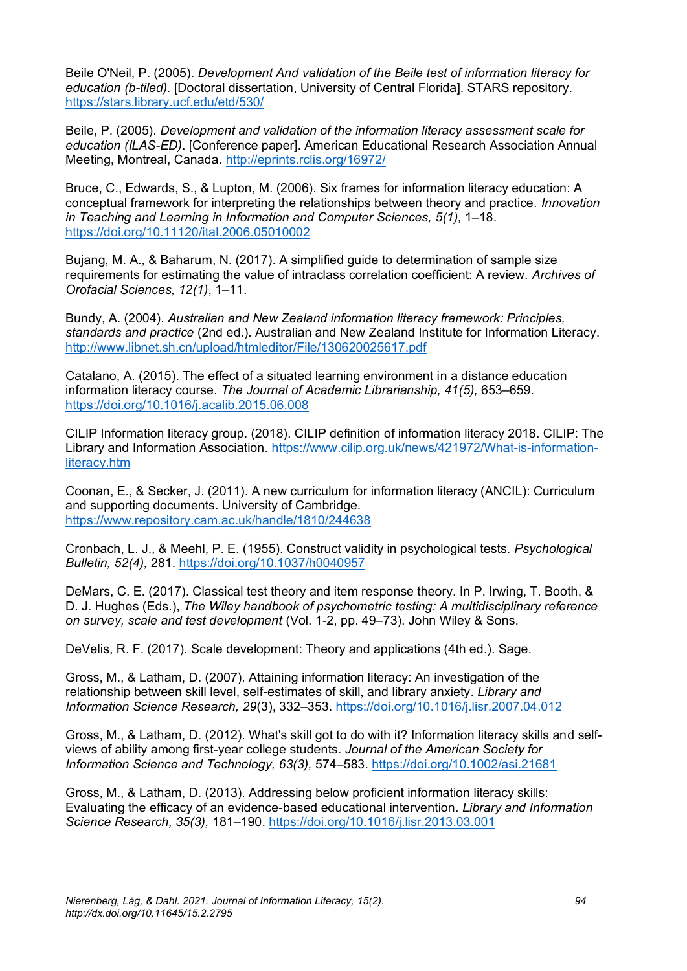Beile O'Neil, P. (2005). *Development And validation of the Beile test of information literacy for education (b-tiled).* [Doctoral dissertation, University of Central Florida]. STARS repository. <https://stars.library.ucf.edu/etd/530/>

Beile, P. (2005). *Development and validation of the information literacy assessment scale for education (ILAS-ED)*. [Conference paper]. American Educational Research Association Annual Meeting, Montreal, Canada.<http://eprints.rclis.org/16972/>

Bruce, C., Edwards, S., & Lupton, M. (2006). Six frames for information literacy education: A conceptual framework for interpreting the relationships between theory and practice. *Innovation in Teaching and Learning in Information and Computer Sciences, 5(1), 1–18.* <https://doi.org/10.11120/ital.2006.05010002>

Bujang, M. A., & Baharum, N. (2017). A simplified guide to determination of sample size requirements for estimating the value of intraclass correlation coefficient: A review. *Archives of Orofacial Sciences, 12(1)*, 1–11.

Bundy, A. (2004). *Australian and New Zealand information literacy framework: Principles, standards and practice* (2nd ed.). Australian and New Zealand Institute for Information Literacy. <http://www.libnet.sh.cn/upload/htmleditor/File/130620025617.pdf>

Catalano, A. (2015). The effect of a situated learning environment in a distance education information literacy course. *The Journal of Academic Librarianship, 41(5),* 653–659. <https://doi.org/10.1016/j.acalib.2015.06.008>

CILIP Information literacy group. (2018). CILIP definition of information literacy 2018. CILIP: The Library and Information Association. [https://www.cilip.org.uk/news/421972/What-is-information](https://www.cilip.org.uk/news/421972/What-is-information-literacy.htm)[literacy.htm](https://www.cilip.org.uk/news/421972/What-is-information-literacy.htm)

Coonan, E., & Secker, J. (2011). A new curriculum for information literacy (ANCIL): Curriculum and supporting documents. University of Cambridge. <https://www.repository.cam.ac.uk/handle/1810/244638>

Cronbach, L. J., & Meehl, P. E. (1955). Construct validity in psychological tests. *Psychological Bulletin, 52(4),* 281.<https://doi.org/10.1037/h0040957>

DeMars, C. E. (2017). Classical test theory and item response theory. In P. Irwing, T. Booth, & D. J. Hughes (Eds.), *The Wiley handbook of psychometric testing: A multidisciplinary reference on survey, scale and test development* (Vol. 1-2, pp. 49–73). John Wiley & Sons.

DeVelis, R. F. (2017). Scale development: Theory and applications (4th ed.). Sage.

Gross, M., & Latham, D. (2007). Attaining information literacy: An investigation of the relationship between skill level, self-estimates of skill, and library anxiety. *Library and Information Science Research, 29*(3), 332–353.<https://doi.org/10.1016/j.lisr.2007.04.012>

Gross, M., & Latham, D. (2012). What's skill got to do with it? Information literacy skills and selfviews of ability among first-year college students. *Journal of the American Society for Information Science and Technology, 63(3),* 574–583.<https://doi.org/10.1002/asi.21681>

Gross, M., & Latham, D. (2013). Addressing below proficient information literacy skills: Evaluating the efficacy of an evidence-based educational intervention. *Library and Information Science Research, 35(3),* 181–190.<https://doi.org/10.1016/j.lisr.2013.03.001>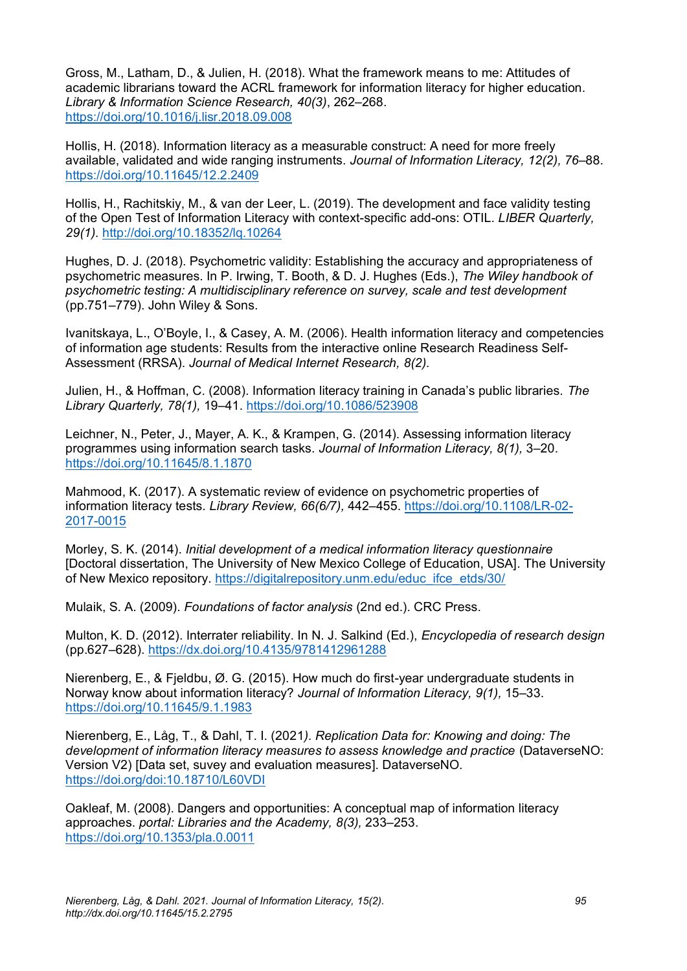Gross, M., Latham, D., & Julien, H. (2018). What the framework means to me: Attitudes of academic librarians toward the ACRL framework for information literacy for higher education. *Library & Information Science Research, 40(3)*, 262–268. <https://doi.org/10.1016/j.lisr.2018.09.008>

Hollis, H. (2018). Information literacy as a measurable construct: A need for more freely available, validated and wide ranging instruments. *Journal of Information Literacy, 12(2), 76*–88. <https://doi.org/10.11645/12.2.2409>

Hollis, H., Rachitskiy, M., & van der Leer, L. (2019). The development and face validity testing of the Open Test of Information Literacy with context-specific add-ons: OTIL. *LIBER Quarterly, 29(1).* <http://doi.org/10.18352/lq.10264>

Hughes, D. J. (2018). Psychometric validity: Establishing the accuracy and appropriateness of psychometric measures. In P. Irwing, T. Booth, & D. J. Hughes (Eds.), *The Wiley handbook of psychometric testing: A multidisciplinary reference on survey, scale and test development* (pp.751–779). John Wiley & Sons.

Ivanitskaya, L., O'Boyle, I., & Casey, A. M. (2006). Health information literacy and competencies of information age students: Results from the interactive online Research Readiness Self-Assessment (RRSA). *Journal of Medical Internet Research, 8(2).*

Julien, H., & Hoffman, C. (2008). Information literacy training in Canada's public libraries. *The Library Quarterly, 78(1),* 19–41.<https://doi.org/10.1086/523908>

Leichner, N., Peter, J., Mayer, A. K., & Krampen, G. (2014). Assessing information literacy programmes using information search tasks. *Journal of Information Literacy, 8(1),* 3–20. <https://doi.org/10.11645/8.1.1870>

Mahmood, K. (2017). A systematic review of evidence on psychometric properties of information literacy tests. *Library Review, 66(6/7),* 442–455. [https://doi.org/10.1108/LR-02-](https://doi.org/10.1108/LR-02-2017-0015) [2017-0015](https://doi.org/10.1108/LR-02-2017-0015)

Morley, S. K. (2014). *Initial development of a medical information literacy questionnaire*  [Doctoral dissertation, The University of New Mexico College of Education, USA]. The University of New Mexico repository. [https://digitalrepository.unm.edu/educ\\_ifce\\_etds/30/](https://digitalrepository.unm.edu/educ_ifce_etds/30/)

Mulaik, S. A. (2009). *Foundations of factor analysis* (2nd ed.). CRC Press.

Multon, K. D. (2012). Interrater reliability. In N. J. Salkind (Ed.), *Encyclopedia of research design* (pp.627–628).<https://dx.doi.org/10.4135/9781412961288>

Nierenberg, E., & Fjeldbu, Ø. G. (2015). How much do first-year undergraduate students in Norway know about information literacy? *Journal of Information Literacy, 9(1),* 15–33. <https://doi.org/10.11645/9.1.1983>

Nierenberg, E., Låg, T., & Dahl, T. I. (2021*). Replication Data for: Knowing and doing: The development of information literacy measures to assess knowledge and practice* (DataverseNO: Version V2) [Data set, suvey and evaluation measures]. DataverseNO. <https://doi.org/doi:10.18710/L60VDI>

Oakleaf, M. (2008). Dangers and opportunities: A conceptual map of information literacy approaches. *portal: Libraries and the Academy, 8(3),* 233–253. <https://doi.org/10.1353/pla.0.0011>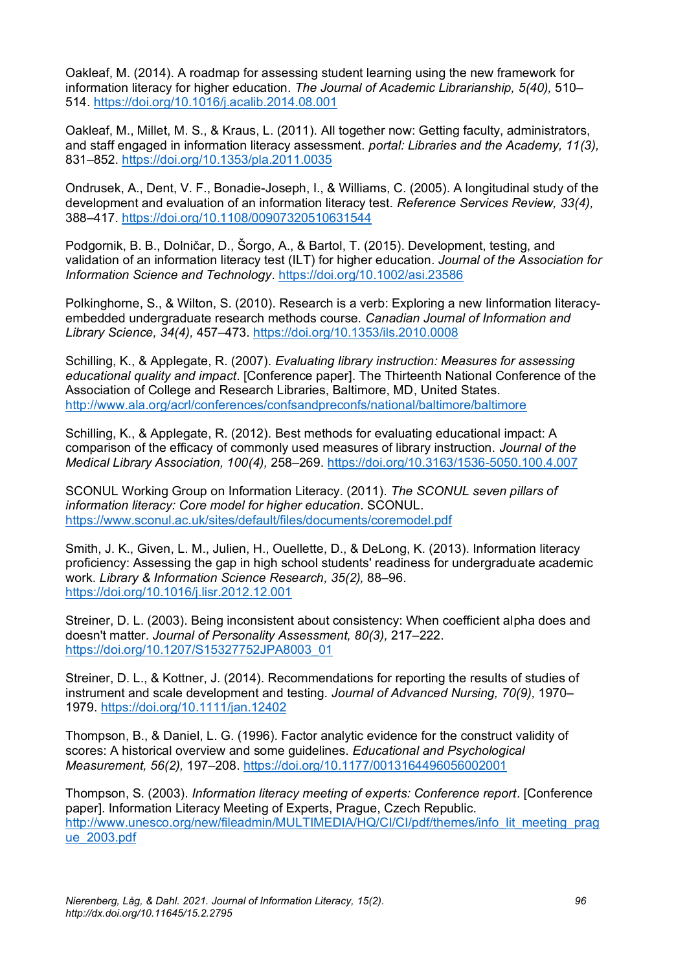Oakleaf, M. (2014). A roadmap for assessing student learning using the new framework for information literacy for higher education. *The Journal of Academic Librarianship, 5(40),* 510– 514.<https://doi.org/10.1016/j.acalib.2014.08.001>

Oakleaf, M., Millet, M. S., & Kraus, L. (2011). All together now: Getting faculty, administrators, and staff engaged in information literacy assessment. *portal: Libraries and the Academy, 11(3),* 831–852.<https://doi.org/10.1353/pla.2011.0035>

Ondrusek, A., Dent, V. F., Bonadie-Joseph, I., & Williams, C. (2005). A longitudinal study of the development and evaluation of an information literacy test. *Reference Services Review, 33(4),* 388–417.<https://doi.org/10.1108/00907320510631544>

Podgornik, B. B., Dolničar, D., Šorgo, A., & Bartol, T. (2015). Development, testing, and validation of an information literacy test (ILT) for higher education. *Journal of the Association for Information Science and Technology*.<https://doi.org/10.1002/asi.23586>

Polkinghorne, S., & Wilton, S. (2010). Research is a verb: Exploring a new Iinformation literacyembedded undergraduate research methods course. *Canadian Journal of Information and Library Science, 34(4),* 457–473.<https://doi.org/10.1353/ils.2010.0008>

Schilling, K., & Applegate, R. (2007). *Evaluating library instruction: Measures for assessing educational quality and impact*. [Conference paper]. The Thirteenth National Conference of the Association of College and Research Libraries, Baltimore, MD, United States. <http://www.ala.org/acrl/conferences/confsandpreconfs/national/baltimore/baltimore>

Schilling, K., & Applegate, R. (2012). Best methods for evaluating educational impact: A comparison of the efficacy of commonly used measures of library instruction. *Journal of the Medical Library Association, 100(4),* 258–269.<https://doi.org/10.3163/1536-5050.100.4.007>

SCONUL Working Group on Information Literacy. (2011). *The SCONUL seven pillars of information literacy: Core model for higher education*. SCONUL. <https://www.sconul.ac.uk/sites/default/files/documents/coremodel.pdf>

Smith, J. K., Given, L. M., Julien, H., Ouellette, D., & DeLong, K. (2013). Information literacy proficiency: Assessing the gap in high school students' readiness for undergraduate academic work. *Library & Information Science Research, 35(2),* 88–96. <https://doi.org/10.1016/j.lisr.2012.12.001>

Streiner, D. L. (2003). Being inconsistent about consistency: When coefficient alpha does and doesn't matter. *Journal of Personality Assessment, 80(3),* 217–222. [https://doi.org/10.1207/S15327752JPA8003\\_01](https://doi.org/10.1207/S15327752JPA8003_01)

Streiner, D. L., & Kottner, J. (2014). Recommendations for reporting the results of studies of instrument and scale development and testing. *Journal of Advanced Nursing, 70(9),* 1970– 1979.<https://doi.org/10.1111/jan.12402>

Thompson, B., & Daniel, L. G. (1996). Factor analytic evidence for the construct validity of scores: A historical overview and some guidelines. *Educational and Psychological Measurement, 56(2),* 197–208.<https://doi.org/10.1177/0013164496056002001>

Thompson, S. (2003). *Information literacy meeting of experts: Conference report*. [Conference paper]. Information Literacy Meeting of Experts, Prague, Czech Republic. [http://www.unesco.org/new/fileadmin/MULTIMEDIA/HQ/CI/CI/pdf/themes/info\\_lit\\_meeting\\_prag](http://www.unesco.org/new/fileadmin/MULTIMEDIA/HQ/CI/CI/pdf/themes/info_lit_meeting_prague_2003.pdf) [ue\\_2003.pdf](http://www.unesco.org/new/fileadmin/MULTIMEDIA/HQ/CI/CI/pdf/themes/info_lit_meeting_prague_2003.pdf)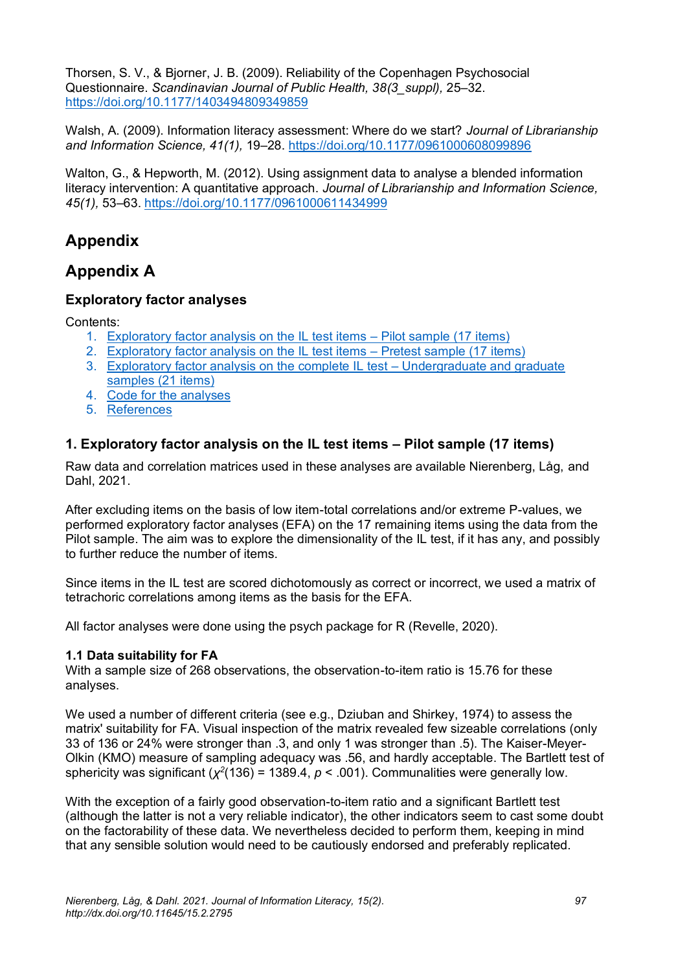Thorsen, S. V., & Bjorner, J. B. (2009). Reliability of the Copenhagen Psychosocial Questionnaire. *Scandinavian Journal of Public Health, 38(3\_suppl),* 25–32. <https://doi.org/10.1177/1403494809349859>

Walsh, A. (2009). Information literacy assessment: Where do we start? *Journal of Librarianship and Information Science, 41(1),* 19–28.<https://doi.org/10.1177/0961000608099896>

Walton, G., & Hepworth, M. (2012). Using assignment data to analyse a blended information literacy intervention: A quantitative approach. *Journal of Librarianship and Information Science, 45(1),* 53–63.<https://doi.org/10.1177/0961000611434999>

## **Appendix**

## **Appendix A**

## **Exploratory factor analyses**

Contents:

- 1. [Exploratory factor analysis on the IL test items –](#page-20-0) Pilot sample (17 items)
- 2. [Exploratory factor analysis on the IL test items –](#page-26-0) Pretest sample (17 items)
- 3. [Exploratory factor analysis on the complete IL test –](#page-31-0) Undergraduate and graduate [samples \(21 items\)](#page-31-0)
- 4. [Code for the analyses](#page-37-0)
- 5. [References](#page-39-0)

### <span id="page-20-0"></span>**1. Exploratory factor analysis on the IL test items – Pilot sample (17 items)**

Raw data and correlation matrices used in these analyses are available Nierenberg, Låg, and Dahl, 2021.

After excluding items on the basis of low item-total correlations and/or extreme P-values, we performed exploratory factor analyses (EFA) on the 17 remaining items using the data from the Pilot sample. The aim was to explore the dimensionality of the IL test, if it has any, and possibly to further reduce the number of items.

Since items in the IL test are scored dichotomously as correct or incorrect, we used a matrix of tetrachoric correlations among items as the basis for the EFA.

All factor analyses were done using the psych package for R (Revelle, 2020).

#### **1.1 Data suitability for FA**

With a sample size of 268 observations, the observation-to-item ratio is 15.76 for these analyses.

We used a number of different criteria (see e.g., Dziuban and Shirkey, 1974) to assess the matrix' suitability for FA. Visual inspection of the matrix revealed few sizeable correlations (only 33 of 136 or 24% were stronger than .3, and only 1 was stronger than .5). The Kaiser-Meyer-Olkin (KMO) measure of sampling adequacy was .56, and hardly acceptable. The Bartlett test of sphericity was significant ( $\chi^2(136)$  = 1389.4,  $p < .001$ ). Communalities were generally low.

With the exception of a fairly good observation-to-item ratio and a significant Bartlett test (although the latter is not a very reliable indicator), the other indicators seem to cast some doubt on the factorability of these data. We nevertheless decided to perform them, keeping in mind that any sensible solution would need to be cautiously endorsed and preferably replicated.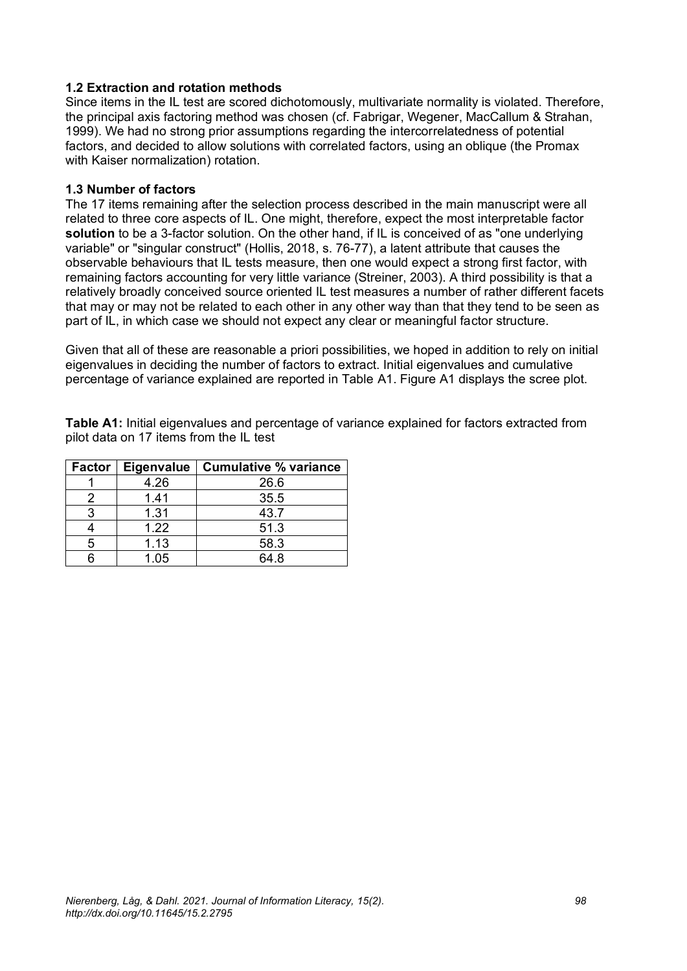#### **1.2 Extraction and rotation methods**

Since items in the IL test are scored dichotomously, multivariate normality is violated. Therefore, the principal axis factoring method was chosen (cf. Fabrigar, Wegener, MacCallum & Strahan, 1999). We had no strong prior assumptions regarding the intercorrelatedness of potential factors, and decided to allow solutions with correlated factors, using an oblique (the Promax with Kaiser normalization) rotation.

#### **1.3 Number of factors**

The 17 items remaining after the selection process described in the main manuscript were all related to three core aspects of IL. One might, therefore, expect the most interpretable factor **solution** to be a 3-factor solution. On the other hand, if IL is conceived of as "one underlying variable" or "singular construct" (Hollis, 2018, s. 76-77), a latent attribute that causes the observable behaviours that IL tests measure, then one would expect a strong first factor, with remaining factors accounting for very little variance (Streiner, 2003). A third possibility is that a relatively broadly conceived source oriented IL test measures a number of rather different facets that may or may not be related to each other in any other way than that they tend to be seen as part of IL, in which case we should not expect any clear or meaningful factor structure.

Given that all of these are reasonable a priori possibilities, we hoped in addition to rely on initial eigenvalues in deciding the number of factors to extract. Initial eigenvalues and cumulative percentage of variance explained are reported in Table A1. Figure A1 displays the scree plot.

**Table A1:** Initial eigenvalues and percentage of variance explained for factors extracted from pilot data on 17 items from the IL test

| Factor | <b>Eigenvalue</b> | <b>Cumulative % variance</b> |
|--------|-------------------|------------------------------|
|        | 4.26              | 26.6                         |
|        | 1.41              | 35.5                         |
| З      | 1.31              | 43.7                         |
|        | 1.22              | 51.3                         |
| 5      | 1.13              | 58.3                         |
|        | 1.05              | 64.8                         |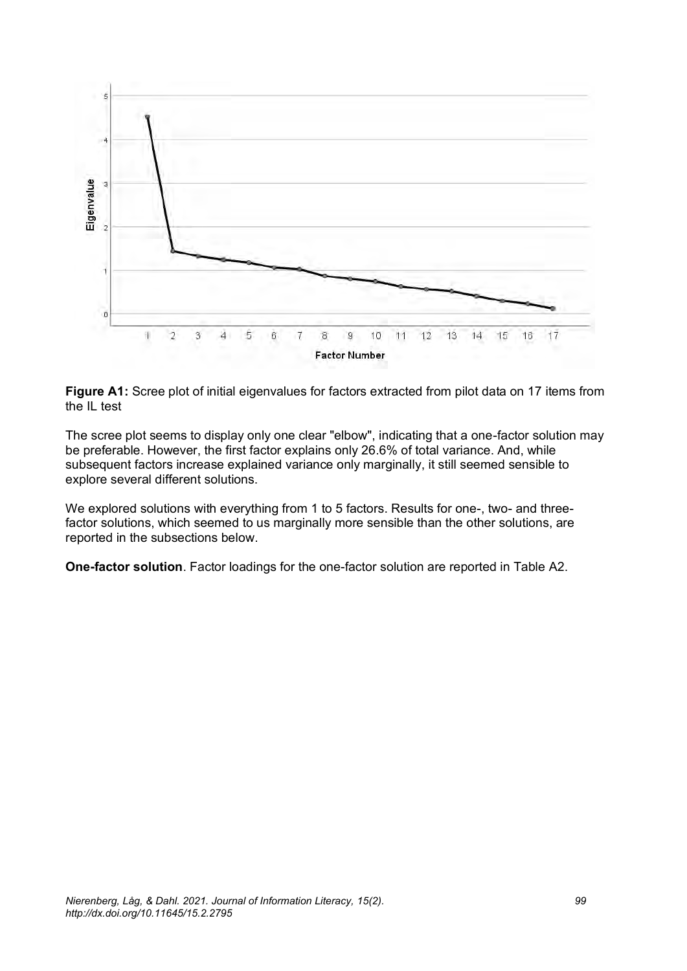

**Figure A1:** Scree plot of initial eigenvalues for factors extracted from pilot data on 17 items from the IL test

The scree plot seems to display only one clear "elbow", indicating that a one-factor solution may be preferable. However, the first factor explains only 26.6% of total variance. And, while subsequent factors increase explained variance only marginally, it still seemed sensible to explore several different solutions.

We explored solutions with everything from 1 to 5 factors. Results for one-, two- and threefactor solutions, which seemed to us marginally more sensible than the other solutions, are reported in the subsections below.

**One-factor solution**. Factor loadings for the one-factor solution are reported in Table A2.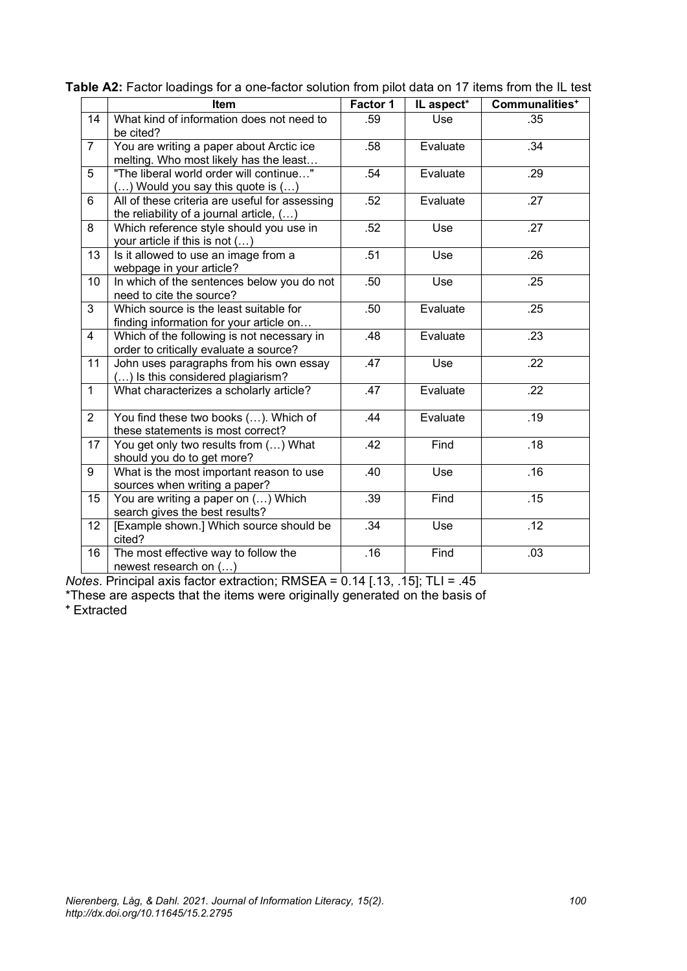|                | Item                                                                                       | Factor 1 | IL aspect* | Communalities <sup>+</sup> |
|----------------|--------------------------------------------------------------------------------------------|----------|------------|----------------------------|
| 14             | What kind of information does not need to<br>be cited?                                     | .59      | Use        | .35                        |
| $\overline{7}$ | You are writing a paper about Arctic ice<br>melting. Who most likely has the least         | .58      | Evaluate   | .34                        |
| 5              | "The liberal world order will continue"<br>$()$ Would you say this quote is $()$           | .54      | Evaluate   | .29                        |
| 6              | All of these criteria are useful for assessing<br>the reliability of a journal article, () | .52      | Evaluate   | .27                        |
| 8              | Which reference style should you use in<br>your article if this is not $()$                | .52      | Use        | .27                        |
| 13             | Is it allowed to use an image from a<br>webpage in your article?                           | .51      | Use        | .26                        |
| 10             | In which of the sentences below you do not<br>need to cite the source?                     | .50      | Use        | .25                        |
| $\mathbf{3}$   | Which source is the least suitable for<br>finding information for your article on          | .50      | Evaluate   | .25                        |
| $\overline{4}$ | Which of the following is not necessary in<br>order to critically evaluate a source?       | .48      | Evaluate   | .23                        |
| 11             | John uses paragraphs from his own essay<br>() Is this considered plagiarism?               | .47      | Use        | .22                        |
| $\mathbf{1}$   | What characterizes a scholarly article?                                                    | .47      | Evaluate   | .22                        |
| $\overline{2}$ | You find these two books (). Which of<br>these statements is most correct?                 | .44      | Evaluate   | .19                        |
| 17             | You get only two results from () What<br>should you do to get more?                        | .42      | Find       | .18                        |
| 9              | What is the most important reason to use<br>sources when writing a paper?                  | .40      | Use        | .16                        |
| 15             | You are writing a paper on () Which<br>search gives the best results?                      | .39      | Find       | .15                        |
| 12             | [Example shown.] Which source should be<br>cited?                                          | .34      | Use        | .12                        |
| 16             | The most effective way to follow the<br>newest research on ()                              | .16      | Find       | .03                        |

| Table A2: Factor loadings for a one-factor solution from pilot data on 17 items from the IL test |
|--------------------------------------------------------------------------------------------------|
|--------------------------------------------------------------------------------------------------|

*Notes*. Principal axis factor extraction; RMSEA = 0.14 [.13, .15]; TLI = .45

\*These are aspects that the items were originally generated on the basis of

**<sup>+</sup>** Extracted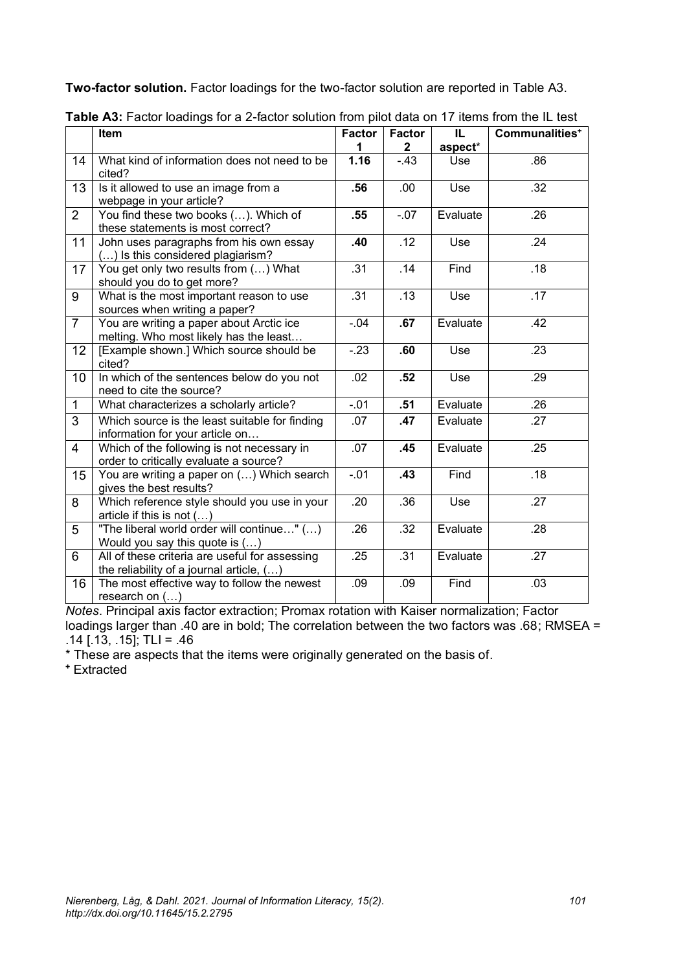**Two-factor solution.** Factor loadings for the two-factor solution are reported in Table A3.

|                | Item                                                                                       | <b>Factor</b><br>1 | <b>Factor</b><br>$\mathbf{2}$ | IL<br>aspect* | Communalities <sup>+</sup> |
|----------------|--------------------------------------------------------------------------------------------|--------------------|-------------------------------|---------------|----------------------------|
| 14             | What kind of information does not need to be<br>cited?                                     | 1.16               | $-43$                         | Use           | .86                        |
| 13             | Is it allowed to use an image from a<br>webpage in your article?                           | .56                | .00.                          | Use           | .32                        |
| $\overline{2}$ | You find these two books (). Which of<br>these statements is most correct?                 | .55                | $-.07$                        | Evaluate      | .26                        |
| 11             | John uses paragraphs from his own essay<br>() Is this considered plagiarism?               | .40                | .12                           | Use           | .24                        |
| 17             | You get only two results from () What<br>should you do to get more?                        | .31                | .14                           | Find          | .18                        |
| 9              | What is the most important reason to use<br>sources when writing a paper?                  | .31                | .13                           | Use           | .17                        |
| $\overline{7}$ | You are writing a paper about Arctic ice<br>melting. Who most likely has the least         | $-.04$             | .67                           | Evaluate      | .42                        |
| 12             | [Example shown.] Which source should be<br>cited?                                          | $-23$              | .60                           | Use           | .23                        |
| 10             | In which of the sentences below do you not<br>need to cite the source?                     | .02                | .52                           | Use           | .29                        |
| $\mathbf{1}$   | What characterizes a scholarly article?                                                    | $-.01$             | .51                           | Evaluate      | .26                        |
| 3              | Which source is the least suitable for finding<br>information for your article on          | .07                | .47                           | Evaluate      | .27                        |
| $\overline{4}$ | Which of the following is not necessary in<br>order to critically evaluate a source?       | .07                | .45                           | Evaluate      | .25                        |
| 15             | You are writing a paper on () Which search<br>gives the best results?                      | $-01$              | .43                           | Find          | .18                        |
| 8              | Which reference style should you use in your<br>article if this is not ()                  | .20                | .36                           | Use           | $\overline{.27}$           |
| 5              | "The liberal world order will continue" ()<br>Would you say this quote is $()$             | .26                | .32                           | Evaluate      | .28                        |
| 6              | All of these criteria are useful for assessing<br>the reliability of a journal article, () | .25                | .31                           | Evaluate      | .27                        |
| 16             | The most effective way to follow the newest<br>research on $()$                            | .09                | .09                           | Find          | .03                        |

*Notes*. Principal axis factor extraction; Promax rotation with Kaiser normalization; Factor loadings larger than .40 are in bold; The correlation between the two factors was .68; RMSEA =  $.14$   $(.13, .15)$ ; TLI = .46

\* These are aspects that the items were originally generated on the basis of.

**<sup>+</sup>** Extracted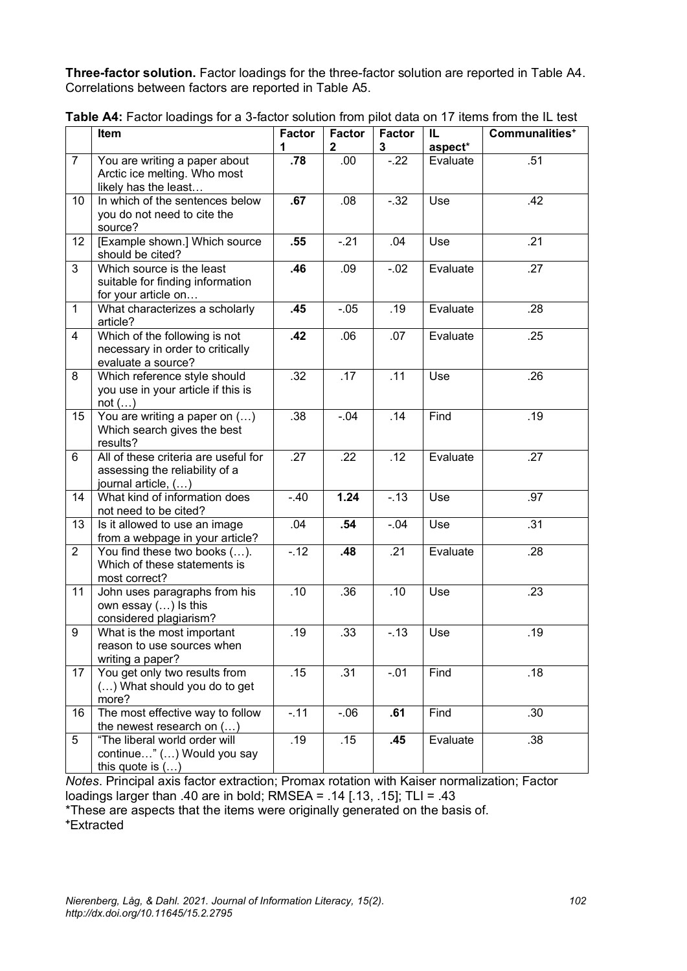**Three-factor solution.** Factor loadings for the three-factor solution are reported in Table A4. Correlations between factors are reported in Table A5.

|                | Item                                                                                          | <b>Factor</b>    | <b>Factor</b><br>$\mathbf 2$ | <b>Factor</b><br>3 | IL<br>aspect* | Communalities <sup>+</sup> |
|----------------|-----------------------------------------------------------------------------------------------|------------------|------------------------------|--------------------|---------------|----------------------------|
| $\overline{7}$ | You are writing a paper about<br>Arctic ice melting. Who most<br>likely has the least         | .78              | .00                          | $-22$              | Evaluate      | .51                        |
| 10             | In which of the sentences below<br>you do not need to cite the<br>source?                     | .67              | .08                          | $-32$              | Use           | .42                        |
| 12             | [Example shown.] Which source<br>should be cited?                                             | .55              | $-21$                        | .04                | Use           | .21                        |
| 3              | Which source is the least<br>suitable for finding information<br>for your article on          | .46              | .09                          | $-02$              | Evaluate      | .27                        |
| $\mathbf{1}$   | What characterizes a scholarly<br>article?                                                    | .45              | $-.05$                       | .19                | Evaluate      | .28                        |
| 4              | Which of the following is not<br>necessary in order to critically<br>evaluate a source?       | .42              | .06                          | .07                | Evaluate      | .25                        |
| 8              | Which reference style should<br>you use in your article if this is<br>not ()                  | .32              | .17                          | .11                | Use           | .26                        |
| 15             | You are writing a paper on $()$<br>Which search gives the best<br>results?                    | .38              | $-.04$                       | .14                | Find          | .19                        |
| 6              | All of these criteria are useful for<br>assessing the reliability of a<br>journal article, () | .27              | .22                          | .12                | Evaluate      | .27                        |
| 14             | What kind of information does<br>not need to be cited?                                        | $-40$            | 1.24                         | $-13$              | Use           | .97                        |
| 13             | Is it allowed to use an image<br>from a webpage in your article?                              | .04              | .54                          | $-0.04$            | Use           | .31                        |
| $\overline{2}$ | You find these two books ().<br>Which of these statements is<br>most correct?                 | $-.12$           | .48                          | .21                | Evaluate      | .28                        |
| 11             | John uses paragraphs from his<br>own essay () Is this<br>considered plagiarism?               | .10              | .36                          | .10                | Use           | .23                        |
| 9              | What is the most important<br>reason to use sources when<br>writing a paper?                  | .19              | .33                          | $-13$              | Use           | .19                        |
| 17             | You get only two results from<br>() What should you do to get<br>more?                        | $\overline{.}15$ | .31                          | $-.01$             | Find          | .18                        |
| 16             | The most effective way to follow<br>the newest research on $()$                               | $-.11$           | $-06$                        | .61                | Find          | .30                        |
| 5              | "The liberal world order will<br>continue" () Would you say<br>this quote is $()$             | .19              | .15                          | .45                | Evaluate      | .38                        |

**Table A4:** Factor loadings for a 3-factor solution from pilot data on 17 items from the IL test

*Notes*. Principal axis factor extraction; Promax rotation with Kaiser normalization; Factor loadings larger than .40 are in bold; RMSEA = .14 [.13, .15]; TLI = .43

\*These are aspects that the items were originally generated on the basis of.

**+**Extracted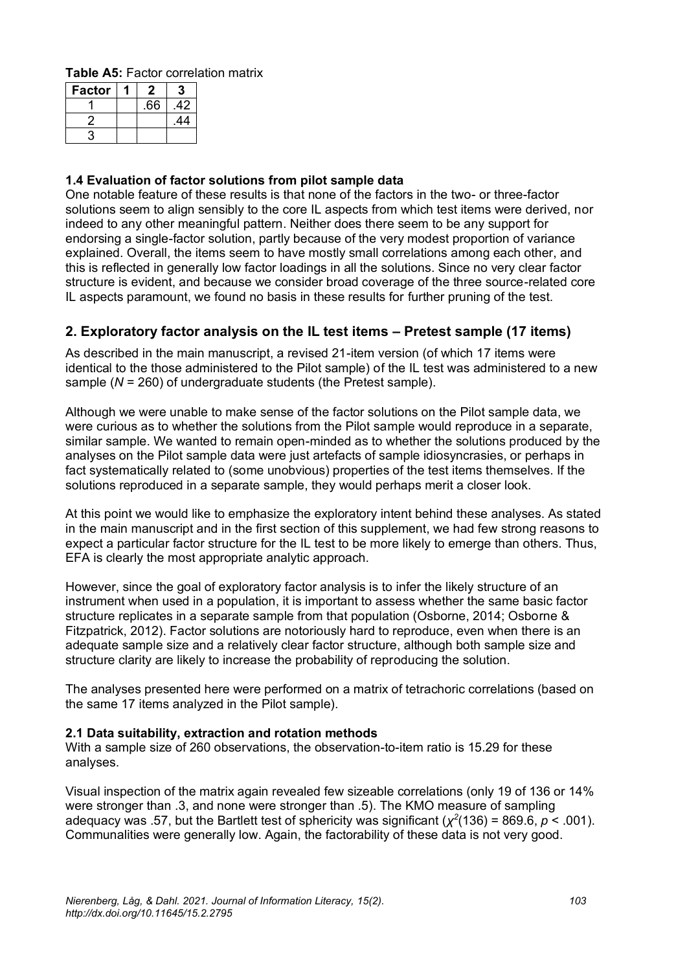**Table A5:** Factor correlation matrix

| <b>Factor</b> | 2   |     |
|---------------|-----|-----|
|               | .66 | 42  |
|               |     | .44 |
|               |     |     |

#### **1.4 Evaluation of factor solutions from pilot sample data**

One notable feature of these results is that none of the factors in the two- or three-factor solutions seem to align sensibly to the core IL aspects from which test items were derived, nor indeed to any other meaningful pattern. Neither does there seem to be any support for endorsing a single-factor solution, partly because of the very modest proportion of variance explained. Overall, the items seem to have mostly small correlations among each other, and this is reflected in generally low factor loadings in all the solutions. Since no very clear factor structure is evident, and because we consider broad coverage of the three source-related core IL aspects paramount, we found no basis in these results for further pruning of the test.

### <span id="page-26-0"></span>**2. Exploratory factor analysis on the IL test items – Pretest sample (17 items)**

As described in the main manuscript, a revised 21-item version (of which 17 items were identical to the those administered to the Pilot sample) of the IL test was administered to a new sample (*N* = 260) of undergraduate students (the Pretest sample).

Although we were unable to make sense of the factor solutions on the Pilot sample data, we were curious as to whether the solutions from the Pilot sample would reproduce in a separate, similar sample. We wanted to remain open-minded as to whether the solutions produced by the analyses on the Pilot sample data were just artefacts of sample idiosyncrasies, or perhaps in fact systematically related to (some unobvious) properties of the test items themselves. If the solutions reproduced in a separate sample, they would perhaps merit a closer look.

At this point we would like to emphasize the exploratory intent behind these analyses. As stated in the main manuscript and in the first section of this supplement, we had few strong reasons to expect a particular factor structure for the IL test to be more likely to emerge than others. Thus, EFA is clearly the most appropriate analytic approach.

However, since the goal of exploratory factor analysis is to infer the likely structure of an instrument when used in a population, it is important to assess whether the same basic factor structure replicates in a separate sample from that population (Osborne, 2014; Osborne & Fitzpatrick, 2012). Factor solutions are notoriously hard to reproduce, even when there is an adequate sample size and a relatively clear factor structure, although both sample size and structure clarity are likely to increase the probability of reproducing the solution.

The analyses presented here were performed on a matrix of tetrachoric correlations (based on the same 17 items analyzed in the Pilot sample).

#### **2.1 Data suitability, extraction and rotation methods**

With a sample size of 260 observations, the observation-to-item ratio is 15.29 for these analyses.

Visual inspection of the matrix again revealed few sizeable correlations (only 19 of 136 or 14% were stronger than .3, and none were stronger than .5). The KMO measure of sampling adequacy was .57, but the Bartlett test of sphericity was significant  $(\chi^2(136) = 869.6, p < .001)$ . Communalities were generally low. Again, the factorability of these data is not very good.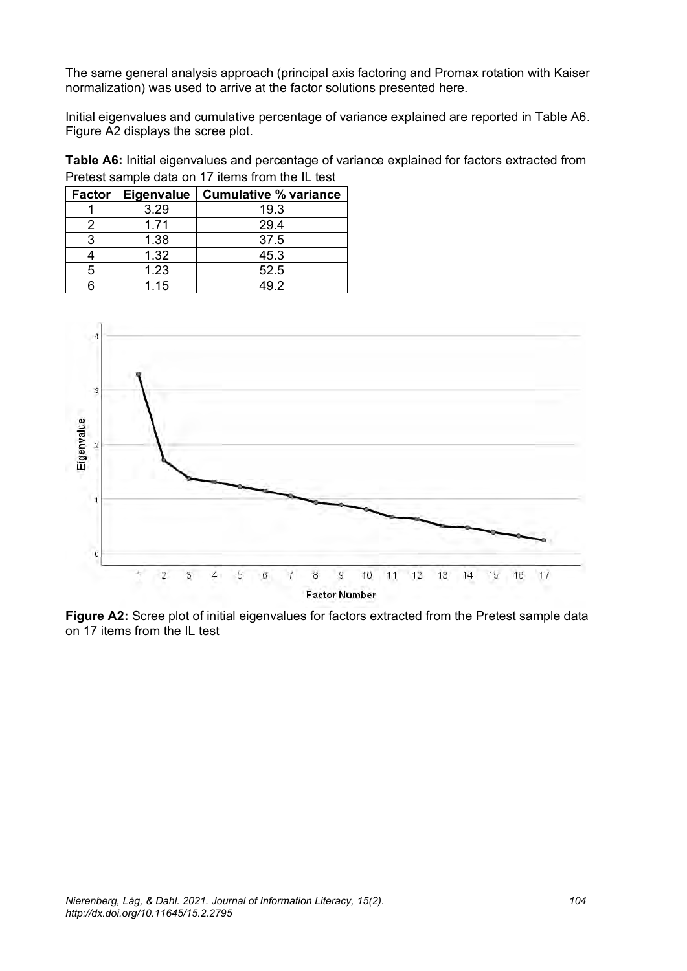The same general analysis approach (principal axis factoring and Promax rotation with Kaiser normalization) was used to arrive at the factor solutions presented here.

Initial eigenvalues and cumulative percentage of variance explained are reported in Table A6. Figure A2 displays the scree plot.

**Table A6:** Initial eigenvalues and percentage of variance explained for factors extracted from Pretest sample data on 17 items from the IL test

| <b>Factor</b> | <b>Eigenvalue</b> | <b>Cumulative % variance</b> |
|---------------|-------------------|------------------------------|
|               | 3.29              | 19.3                         |
|               | 1.71              | 29.4                         |
| З             | 1.38              | 37.5                         |
|               | 1.32              | 45.3                         |
| 5             | 1.23              | 52.5                         |
|               | 1.15              | 49 2                         |



**Figure A2:** Scree plot of initial eigenvalues for factors extracted from the Pretest sample data on 17 items from the IL test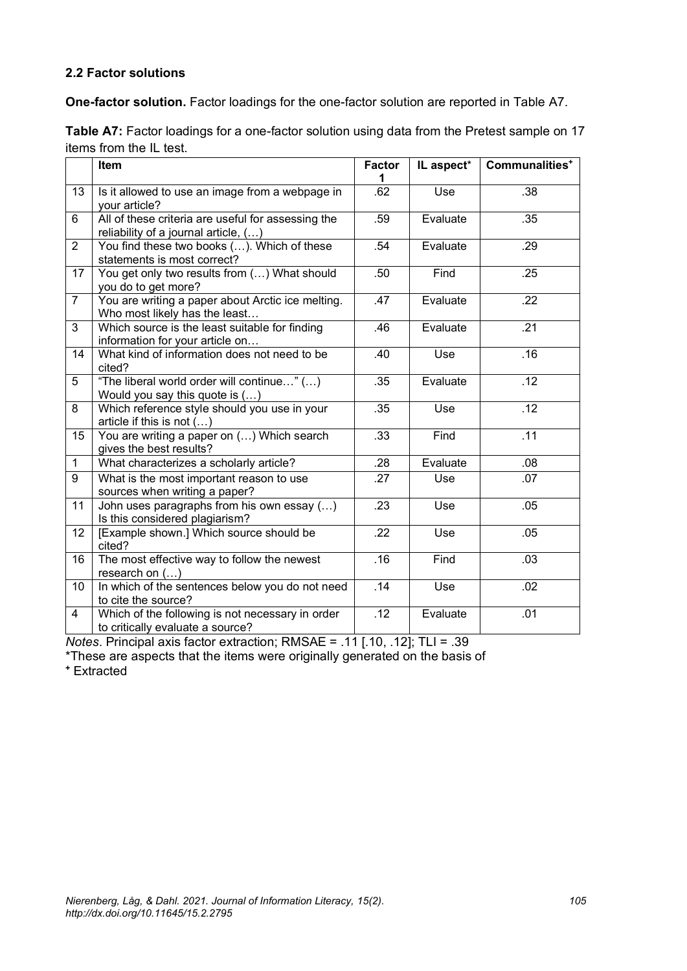#### **2.2 Factor solutions**

**One-factor solution.** Factor loadings for the one-factor solution are reported in Table A7.

| Table A7: Factor loadings for a one-factor solution using data from the Pretest sample on 17 |  |  |
|----------------------------------------------------------------------------------------------|--|--|
| items from the IL test.                                                                      |  |  |

|                | Item                                                                                       | <b>Factor</b><br>1 | IL aspect* | Communalities <sup>+</sup> |
|----------------|--------------------------------------------------------------------------------------------|--------------------|------------|----------------------------|
| 13             | Is it allowed to use an image from a webpage in<br>your article?                           | .62                | Use        | .38                        |
| 6              | All of these criteria are useful for assessing the<br>reliability of a journal article, () | .59                | Evaluate   | .35                        |
| $\overline{2}$ | You find these two books (). Which of these<br>statements is most correct?                 | .54                | Evaluate   | .29                        |
| 17             | You get only two results from () What should<br>you do to get more?                        | .50                | Find       | .25                        |
| $\overline{7}$ | You are writing a paper about Arctic ice melting.<br>Who most likely has the least         | .47                | Evaluate   | .22                        |
| 3              | Which source is the least suitable for finding<br>information for your article on          | .46                | Evaluate   | .21                        |
| 14             | What kind of information does not need to be<br>cited?                                     | .40                | Use        | .16                        |
| 5              | "The liberal world order will continue" ()<br>Would you say this quote is ()               | .35                | Evaluate   | .12                        |
| 8              | Which reference style should you use in your<br>article if this is not $()$                | .35                | Use        | .12                        |
| 15             | You are writing a paper on () Which search<br>gives the best results?                      | .33                | Find       | .11                        |
| $\mathbf{1}$   | What characterizes a scholarly article?                                                    | .28                | Evaluate   | .08                        |
| 9              | What is the most important reason to use<br>sources when writing a paper?                  | .27                | Use        | .07                        |
| 11             | John uses paragraphs from his own essay ()<br>Is this considered plagiarism?               | .23                | Use        | .05                        |
| 12             | [Example shown.] Which source should be<br>cited?                                          | .22                | Use        | .05                        |
| 16             | The most effective way to follow the newest<br>research on $()$                            | .16                | Find       | .03                        |
| 10             | In which of the sentences below you do not need<br>to cite the source?                     | .14                | Use        | .02                        |
| $\overline{4}$ | Which of the following is not necessary in order<br>to critically evaluate a source?       | .12                | Evaluate   | .01                        |

*Notes*. Principal axis factor extraction; RMSAE = .11 [.10, .12]; TLI = .39

\*These are aspects that the items were originally generated on the basis of

**<sup>+</sup>** Extracted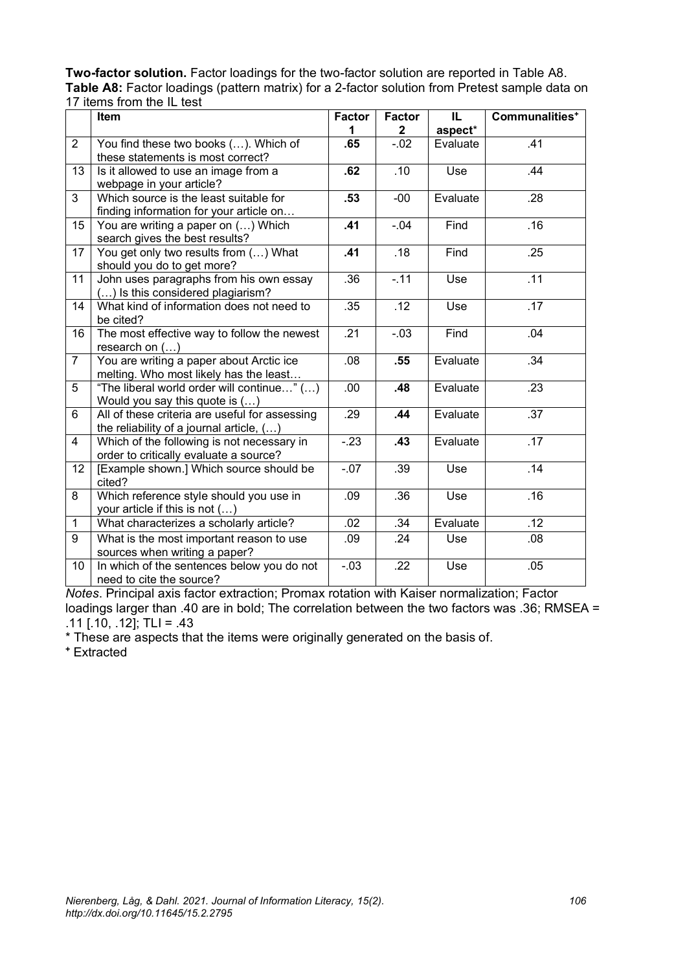| Two-factor solution. Factor loadings for the two-factor solution are reported in Table A8.     |
|------------------------------------------------------------------------------------------------|
| Table A8: Factor loadings (pattern matrix) for a 2-factor solution from Pretest sample data on |
| 17 items from the IL test                                                                      |

|                | Item                                                                                       | <b>Factor</b><br>1 | <b>Factor</b><br>$\mathbf{2}$ | IL.<br>aspect* | Communalities <sup>+</sup> |
|----------------|--------------------------------------------------------------------------------------------|--------------------|-------------------------------|----------------|----------------------------|
| 2              | You find these two books (). Which of<br>these statements is most correct?                 | .65                | $-02$                         | Evaluate       | .41                        |
| 13             | Is it allowed to use an image from a<br>webpage in your article?                           | .62                | .10                           | Use            | .44                        |
| 3              | Which source is the least suitable for<br>finding information for your article on          | .53                | $-00$                         | Evaluate       | .28                        |
| 15             | You are writing a paper on () Which<br>search gives the best results?                      | .41                | $-0.04$                       | Find           | .16                        |
| 17             | You get only two results from () What<br>should you do to get more?                        | .41                | .18                           | Find           | .25                        |
| 11             | John uses paragraphs from his own essay<br>() Is this considered plagiarism?               | .36                | $-.11$                        | Use            | $\overline{.11}$           |
| 14             | What kind of information does not need to<br>be cited?                                     | .35                | .12                           | Use            | .17                        |
| 16             | The most effective way to follow the newest<br>research on $()$                            | .21                | $-.03$                        | Find           | .04                        |
| $\overline{7}$ | You are writing a paper about Arctic ice<br>melting. Who most likely has the least         | .08                | .55                           | Evaluate       | .34                        |
| 5              | "The liberal world order will continue" ()<br>Would you say this quote is $()$             | .00                | .48                           | Evaluate       | .23                        |
| 6              | All of these criteria are useful for assessing<br>the reliability of a journal article, () | .29                | .44                           | Evaluate       | .37                        |
| $\overline{4}$ | Which of the following is not necessary in<br>order to critically evaluate a source?       | $-23$              | .43                           | Evaluate       | .17                        |
| 12             | [Example shown.] Which source should be<br>cited?                                          | $-07$              | .39                           | Use            | .14                        |
| 8              | Which reference style should you use in<br>your article if this is not ()                  | .09                | .36                           | Use            | .16                        |
| $\mathbf{1}$   | What characterizes a scholarly article?                                                    | .02                | .34                           | Evaluate       | .12                        |
| 9              | What is the most important reason to use<br>sources when writing a paper?                  | .09                | .24                           | Use            | .08                        |
| 10             | In which of the sentences below you do not<br>need to cite the source?                     | $-0.3$             | .22                           | Use            | .05                        |

*Notes*. Principal axis factor extraction; Promax rotation with Kaiser normalization; Factor loadings larger than .40 are in bold; The correlation between the two factors was .36; RMSEA = .11 [.10, .12]; TLI = .43

\* These are aspects that the items were originally generated on the basis of.

**<sup>+</sup>** Extracted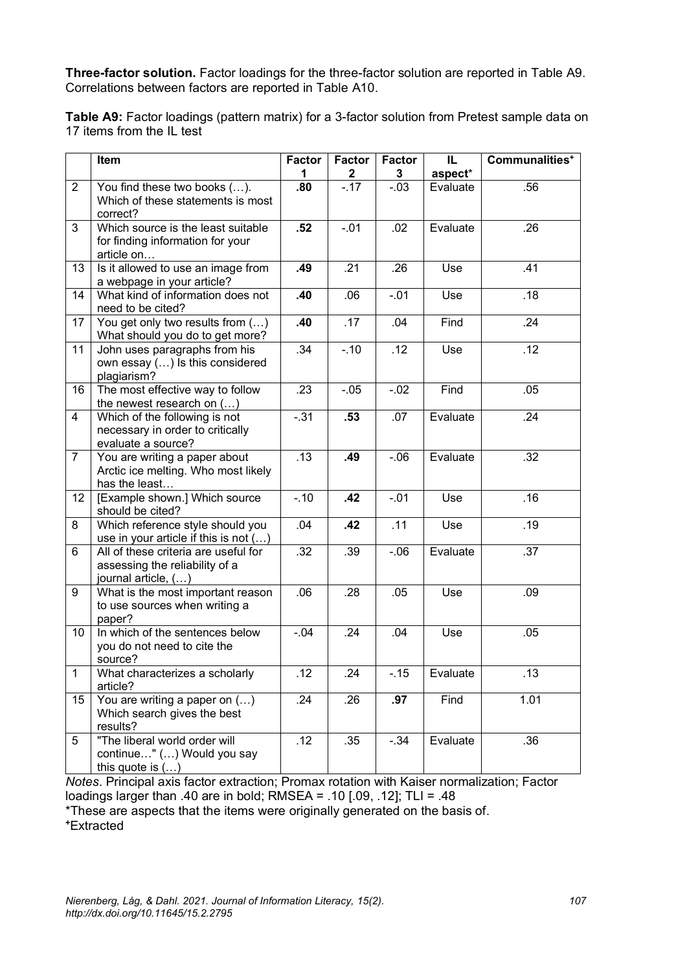**Three-factor solution.** Factor loadings for the three-factor solution are reported in Table A9. Correlations between factors are reported in Table A10.

**Table A9:** Factor loadings (pattern matrix) for a 3-factor solution from Pretest sample data on 17 items from the IL test

|                | Item                                                                                          | <b>Factor</b> | <b>Factor</b> | <b>Factor</b> | IL       | Communalities <sup>+</sup> |
|----------------|-----------------------------------------------------------------------------------------------|---------------|---------------|---------------|----------|----------------------------|
|                |                                                                                               | 1             | $\mathbf{2}$  | $\mathbf{3}$  | aspect*  |                            |
| $\overline{2}$ | You find these two books ().<br>Which of these statements is most<br>correct?                 | .80           | $-17$         | $-03$         | Evaluate | .56                        |
| 3              | Which source is the least suitable<br>for finding information for your<br>article on          | .52           | $-01$         | .02           | Evaluate | .26                        |
| 13             | Is it allowed to use an image from<br>a webpage in your article?                              | .49           | .21           | .26           | Use      | .41                        |
| 14             | What kind of information does not<br>need to be cited?                                        | .40           | .06           | $-01$         | Use      | .18                        |
| 17             | You get only two results from ()<br>What should you do to get more?                           | .40           | .17           | .04           | Find     | .24                        |
| 11             | John uses paragraphs from his<br>own essay () Is this considered<br>plagiarism?               | .34           | $-10$         | .12           | Use      | .12                        |
| 16             | The most effective way to follow<br>the newest research on $()$                               | .23           | $-0.05$       | $-.02$        | Find     | .05                        |
| $\overline{4}$ | Which of the following is not<br>necessary in order to critically<br>evaluate a source?       | $-.31$        | .53           | .07           | Evaluate | .24                        |
| $\overline{7}$ | You are writing a paper about<br>Arctic ice melting. Who most likely<br>has the least         | .13           | .49           | $-0.06$       | Evaluate | .32                        |
| 12             | [Example shown.] Which source<br>should be cited?                                             | $-.10$        | .42           | $-.01$        | Use      | .16                        |
| 8              | Which reference style should you<br>use in your article if this is not ()                     | .04           | .42           | .11           | Use      | .19                        |
| 6              | All of these criteria are useful for<br>assessing the reliability of a<br>journal article, () | .32           | .39           | $-0.06$       | Evaluate | .37                        |
| 9              | What is the most important reason<br>to use sources when writing a<br>paper?                  | .06           | .28           | .05           | Use      | .09                        |
| 10             | In which of the sentences below<br>you do not need to cite the<br>source?                     | $-.04$        | .24           | .04           | Use      | .05                        |
| 1              | What characterizes a scholarly<br>article?                                                    | .12           | .24           | $-0.15$       | Evaluate | .13                        |
| 15             | You are writing a paper on ()<br>Which search gives the best<br>results?                      | .24           | .26           | .97           | Find     | 1.01                       |
| 5              | "The liberal world order will<br>continue" () Would you say<br>this quote is $()$             | .12           | .35           | $-.34$        | Evaluate | .36                        |

*Notes*. Principal axis factor extraction; Promax rotation with Kaiser normalization; Factor loadings larger than .40 are in bold; RMSEA = .10 [.09, .12]; TLI = .48

\*These are aspects that the items were originally generated on the basis of.

**+**Extracted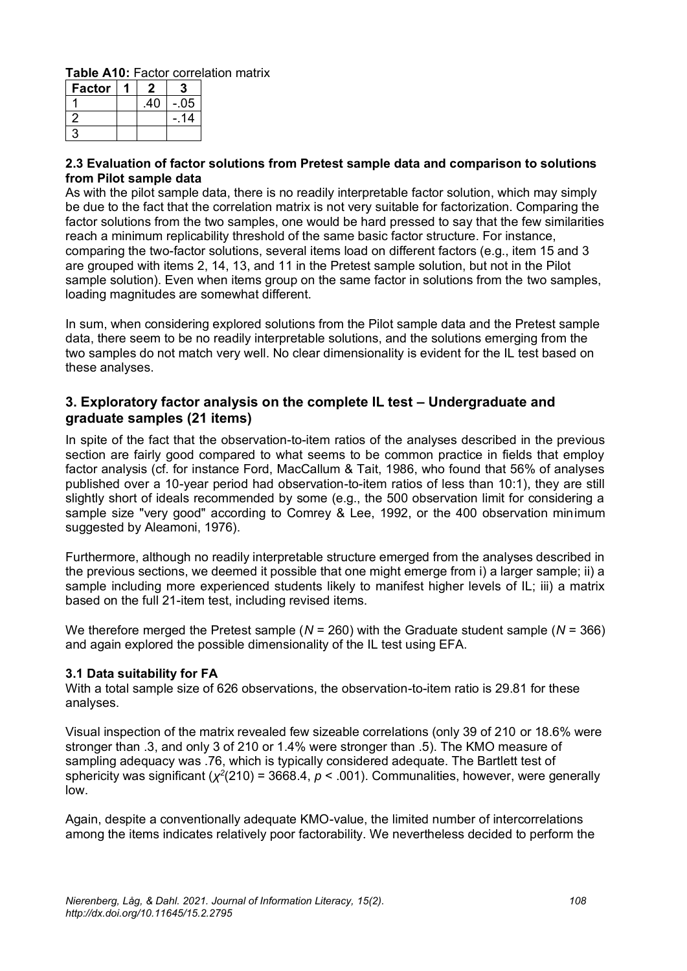**Table A10:** Factor correlation matrix

| <b>Factor</b> |     |      |
|---------------|-----|------|
|               | .40 | -.05 |
| 2             |     | 14   |
| ς             |     |      |

#### **2.3 Evaluation of factor solutions from Pretest sample data and comparison to solutions from Pilot sample data**

As with the pilot sample data, there is no readily interpretable factor solution, which may simply be due to the fact that the correlation matrix is not very suitable for factorization. Comparing the factor solutions from the two samples, one would be hard pressed to say that the few similarities reach a minimum replicability threshold of the same basic factor structure. For instance, comparing the two-factor solutions, several items load on different factors (e.g., item 15 and 3 are grouped with items 2, 14, 13, and 11 in the Pretest sample solution, but not in the Pilot sample solution). Even when items group on the same factor in solutions from the two samples, loading magnitudes are somewhat different.

In sum, when considering explored solutions from the Pilot sample data and the Pretest sample data, there seem to be no readily interpretable solutions, and the solutions emerging from the two samples do not match very well. No clear dimensionality is evident for the IL test based on these analyses.

#### <span id="page-31-0"></span>**3. Exploratory factor analysis on the complete IL test – Undergraduate and graduate samples (21 items)**

In spite of the fact that the observation-to-item ratios of the analyses described in the previous section are fairly good compared to what seems to be common practice in fields that employ factor analysis (cf. for instance Ford, MacCallum & Tait, 1986, who found that 56% of analyses published over a 10-year period had observation-to-item ratios of less than 10:1), they are still slightly short of ideals recommended by some (e.g., the 500 observation limit for considering a sample size "very good" according to Comrey & Lee, 1992, or the 400 observation minimum suggested by Aleamoni, 1976).

Furthermore, although no readily interpretable structure emerged from the analyses described in the previous sections, we deemed it possible that one might emerge from i) a larger sample; ii) a sample including more experienced students likely to manifest higher levels of IL; iii) a matrix based on the full 21-item test, including revised items.

We therefore merged the Pretest sample (*N* = 260) with the Graduate student sample (*N* = 366) and again explored the possible dimensionality of the IL test using EFA.

#### **3.1 Data suitability for FA**

With a total sample size of 626 observations, the observation-to-item ratio is 29.81 for these analyses.

Visual inspection of the matrix revealed few sizeable correlations (only 39 of 210 or 18.6% were stronger than .3, and only 3 of 210 or 1.4% were stronger than .5). The KMO measure of sampling adequacy was .76, which is typically considered adequate. The Bartlett test of sphericity was significant (*χ 2* (210) = 3668.4, *p* < .001). Communalities, however, were generally low.

Again, despite a conventionally adequate KMO-value, the limited number of intercorrelations among the items indicates relatively poor factorability. We nevertheless decided to perform the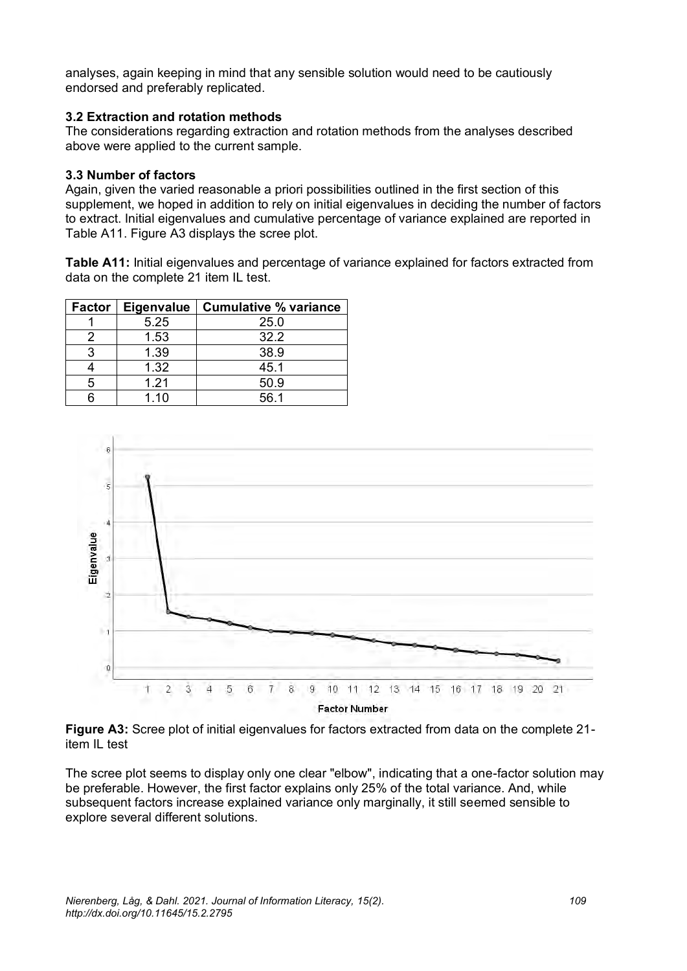analyses, again keeping in mind that any sensible solution would need to be cautiously endorsed and preferably replicated.

#### **3.2 Extraction and rotation methods**

The considerations regarding extraction and rotation methods from the analyses described above were applied to the current sample.

#### **3.3 Number of factors**

Again, given the varied reasonable a priori possibilities outlined in the first section of this supplement, we hoped in addition to rely on initial eigenvalues in deciding the number of factors to extract. Initial eigenvalues and cumulative percentage of variance explained are reported in Table A11. Figure A3 displays the scree plot.

**Table A11:** Initial eigenvalues and percentage of variance explained for factors extracted from data on the complete 21 item IL test.

| Factor | <b>Eigenvalue</b> | <b>Cumulative % variance</b> |
|--------|-------------------|------------------------------|
|        | 5.25              | 25.0                         |
|        | 1.53              | 32.2                         |
| З      | 1.39              | 38.9                         |
|        | 1.32              | 45.1                         |
| 5      | 1.21              | 50.9                         |
|        | 1.10              | 56.1                         |



**Figure A3:** Scree plot of initial eigenvalues for factors extracted from data on the complete 21 item IL test

The scree plot seems to display only one clear "elbow", indicating that a one-factor solution may be preferable. However, the first factor explains only 25% of the total variance. And, while subsequent factors increase explained variance only marginally, it still seemed sensible to explore several different solutions.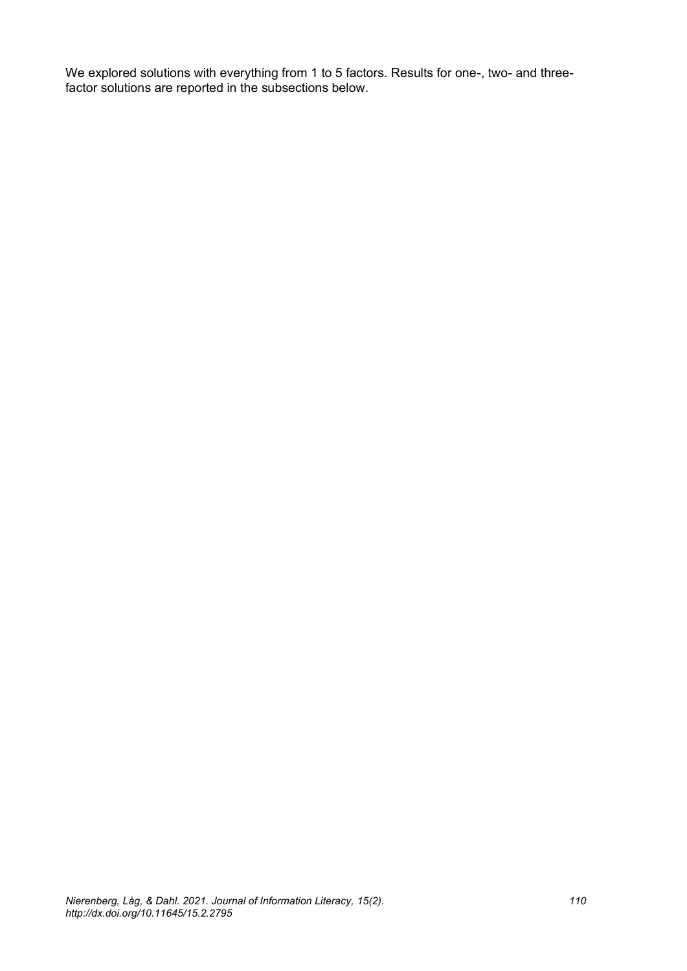We explored solutions with everything from 1 to 5 factors. Results for one-, two- and threefactor solutions are reported in the subsections below.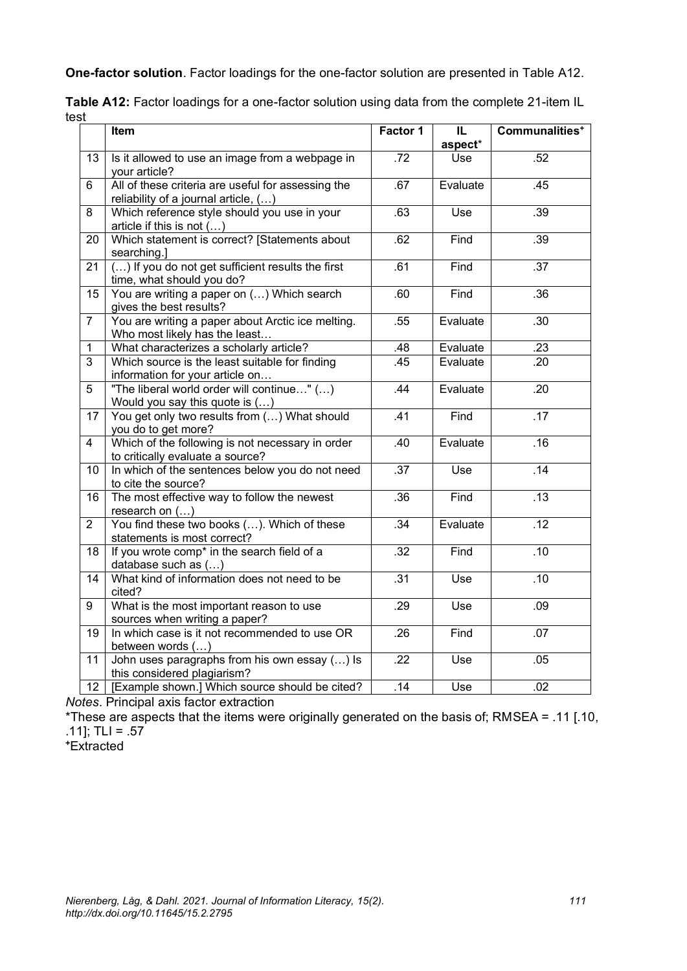**One-factor solution**. Factor loadings for the one-factor solution are presented in Table A12.

|      | Table A12: Factor loadings for a one-factor solution using data from the complete 21-item IL |  |  |
|------|----------------------------------------------------------------------------------------------|--|--|
| test |                                                                                              |  |  |

|                | Item                                                                                       | Factor 1         | IL       | Communalities <sup>+</sup> |
|----------------|--------------------------------------------------------------------------------------------|------------------|----------|----------------------------|
|                |                                                                                            |                  | aspect*  |                            |
| 13             | Is it allowed to use an image from a webpage in<br>your article?                           | $\overline{.72}$ | Use      | .52                        |
| 6              | All of these criteria are useful for assessing the<br>reliability of a journal article, () | .67              | Evaluate | .45                        |
| 8              | Which reference style should you use in your<br>article if this is not $()$                | .63              | Use      | .39                        |
| 20             | Which statement is correct? [Statements about<br>searching.]                               | .62              | Find     | .39                        |
| 21             | () If you do not get sufficient results the first<br>time, what should you do?             | .61              | Find     | $\overline{.37}$           |
| 15             | You are writing a paper on () Which search<br>gives the best results?                      | .60              | Find     | .36                        |
| $\overline{7}$ | You are writing a paper about Arctic ice melting.<br>Who most likely has the least         | .55              | Evaluate | .30                        |
| $\mathbf{1}$   | What characterizes a scholarly article?                                                    | .48              | Evaluate | .23                        |
| $\overline{3}$ | Which source is the least suitable for finding<br>information for your article on          | .45              | Evaluate | .20                        |
| 5              | "The liberal world order will continue" ()<br>Would you say this quote is ()               | .44              | Evaluate | .20                        |
| 17             | You get only two results from () What should<br>you do to get more?                        | .41              | Find     | .17                        |
| $\overline{4}$ | Which of the following is not necessary in order<br>to critically evaluate a source?       | .40              | Evaluate | .16                        |
| 10             | In which of the sentences below you do not need<br>to cite the source?                     | .37              | Use      | .14                        |
| 16             | The most effective way to follow the newest<br>research on $()$                            | .36              | Find     | .13                        |
| $\overline{2}$ | You find these two books (). Which of these<br>statements is most correct?                 | .34              | Evaluate | .12                        |
| 18             | If you wrote comp <sup>*</sup> in the search field of a<br>database such as ()             | .32              | Find     | .10                        |
| 14             | What kind of information does not need to be<br>cited?                                     | .31              | Use      | .10                        |
| 9              | What is the most important reason to use<br>sources when writing a paper?                  | .29              | Use      | .09                        |
| 19             | In which case is it not recommended to use OR<br>between words ()                          | .26              | Find     | .07                        |
| 11             | John uses paragraphs from his own essay () Is<br>this considered plagiarism?               | $\overline{.}22$ | Use      | .05                        |
| 12             | [Example shown.] Which source should be cited?                                             | .14              | Use      | .02                        |

*Notes*. Principal axis factor extraction

\*These are aspects that the items were originally generated on the basis of; RMSEA = .11 [.10, .11]; TLI = .57

**+**Extracted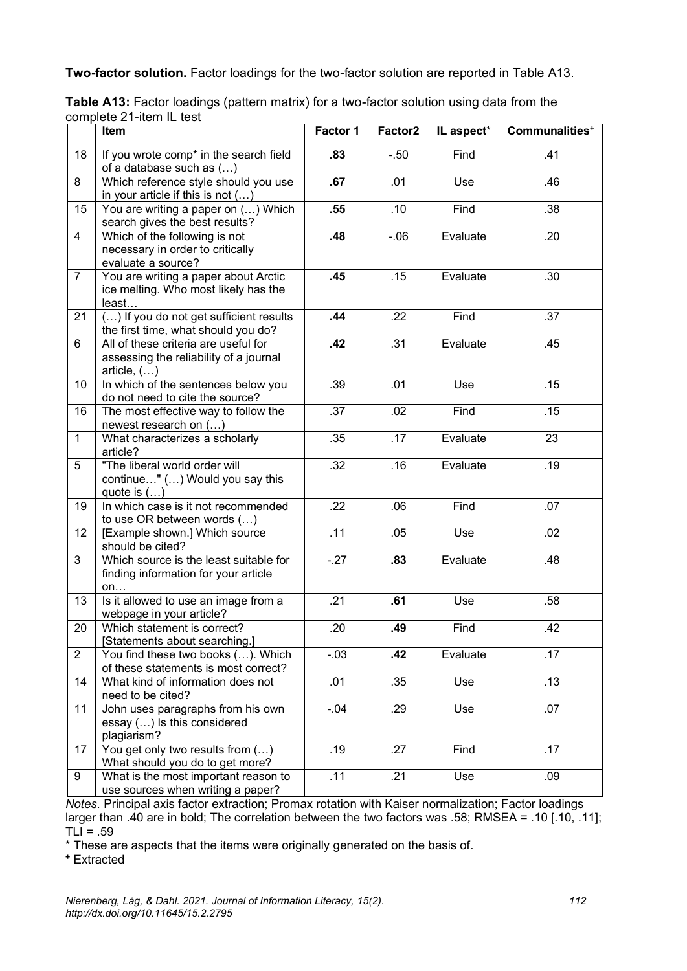**Two-factor solution.** Factor loadings for the two-factor solution are reported in Table A13.

|                | Item                                                                                          | Factor 1 | Factor2 | IL aspect* | Communalities <sup>+</sup> |
|----------------|-----------------------------------------------------------------------------------------------|----------|---------|------------|----------------------------|
| 18             | If you wrote comp* in the search field<br>of a database such as ()                            | .83      | $-50$   | Find       | .41                        |
| 8              | Which reference style should you use<br>in your article if this is not $()$                   | .67      | .01     | Use        | .46                        |
| 15             | You are writing a paper on () Which<br>search gives the best results?                         | .55      | .10     | Find       | .38                        |
| $\overline{4}$ | Which of the following is not<br>necessary in order to critically<br>evaluate a source?       | .48      | $-06$   | Evaluate   | .20                        |
| $\overline{7}$ | You are writing a paper about Arctic<br>ice melting. Who most likely has the<br>least         | .45      | .15     | Evaluate   | .30                        |
| 21             | () If you do not get sufficient results<br>the first time, what should you do?                | $-44$    | .22     | Find       | .37                        |
| 6              | All of these criteria are useful for<br>assessing the reliability of a journal<br>article, () | .42      | .31     | Evaluate   | .45                        |
| 10             | In which of the sentences below you<br>do not need to cite the source?                        | .39      | .01     | Use        | .15                        |
| 16             | The most effective way to follow the<br>newest research on ()                                 | .37      | .02     | Find       | .15                        |
| $\mathbf{1}$   | What characterizes a scholarly<br>article?                                                    | .35      | .17     | Evaluate   | 23                         |
| 5              | "The liberal world order will<br>continue" () Would you say this<br>quote is $()$             | .32      | .16     | Evaluate   | .19                        |
| 19             | In which case is it not recommended<br>to use OR between words ()                             | .22      | .06     | Find       | .07                        |
| 12             | [Example shown.] Which source<br>should be cited?                                             | .11      | .05     | Use        | .02                        |
| 3              | Which source is the least suitable for<br>finding information for your article<br>on          | $-27$    | .83     | Evaluate   | .48                        |
| 13             | Is it allowed to use an image from a<br>webpage in your article?                              | .21      | .61     | Use        | .58                        |
| 20             | Which statement is correct?<br>[Statements about searching.]                                  | .20      | .49     | Find       | .42                        |
| $\overline{2}$ | You find these two books (). Which<br>of these statements is most correct?                    | $-.03$   | .42     | Evaluate   | .17                        |
| 14             | What kind of information does not<br>need to be cited?                                        | .01      | .35     | Use        | .13                        |
| 11             | John uses paragraphs from his own<br>essay () Is this considered<br>plagiarism?               | $-.04$   | .29     | Use        | .07                        |
| 17             | You get only two results from ()<br>What should you do to get more?                           | .19      | .27     | Find       | .17                        |
| 9              | What is the most important reason to<br>use sources when writing a paper?                     | .11      | .21     | Use        | .09                        |

| Table A13: Factor loadings (pattern matrix) for a two-factor solution using data from the |  |  |
|-------------------------------------------------------------------------------------------|--|--|
| complete 21-item IL test                                                                  |  |  |

*Notes*. Principal axis factor extraction; Promax rotation with Kaiser normalization; Factor loadings larger than .40 are in bold; The correlation between the two factors was .58; RMSEA = .10 [.10, .11];  $TLI = .59$ 

\* These are aspects that the items were originally generated on the basis of.

**<sup>+</sup>** Extracted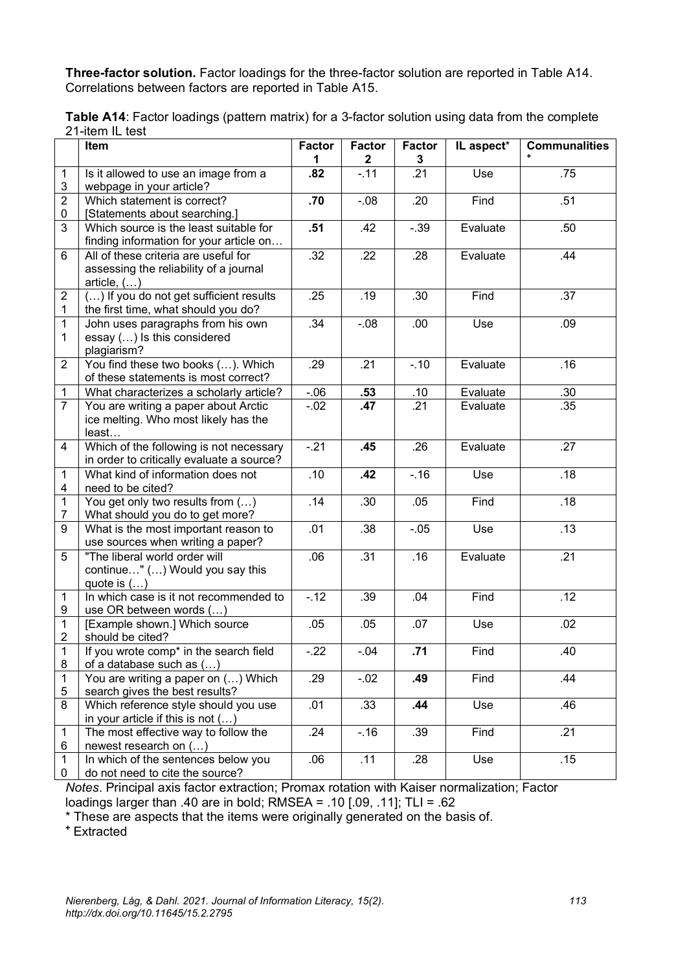**Three-factor solution.** Factor loadings for the three-factor solution are reported in Table A14. Correlations between factors are reported in Table A15.

|                           | Item                                                                                 | <b>Factor</b> | <b>Factor</b>         | <b>Factor</b> | IL aspect* | <b>Communalities</b> |
|---------------------------|--------------------------------------------------------------------------------------|---------------|-----------------------|---------------|------------|----------------------|
| $\mathbf{1}$              |                                                                                      | 1<br>.82      | $\mathbf 2$<br>$-.11$ | 3<br>.21      | Use        | .75                  |
| $\ensuremath{\mathsf{3}}$ | Is it allowed to use an image from a<br>webpage in your article?                     |               |                       |               |            |                      |
| $\overline{2}$            | Which statement is correct?                                                          | .70           | $-0.08$               | .20           | Find       | .51                  |
| 0                         | [Statements about searching.]                                                        |               |                       |               |            |                      |
| 3                         | Which source is the least suitable for                                               | .51           | .42                   | $-0.39$       | Evaluate   | .50                  |
|                           | finding information for your article on                                              |               |                       |               |            |                      |
| 6                         | All of these criteria are useful for                                                 | .32           | $\overline{.}22$      | .28           | Evaluate   | .44                  |
|                           | assessing the reliability of a journal                                               |               |                       |               |            |                      |
|                           | article, ()                                                                          |               |                       |               |            |                      |
| $\boldsymbol{2}$          | () If you do not get sufficient results                                              | .25           | .19                   | .30           | Find       | .37                  |
| $\mathbf 1$               | the first time, what should you do?                                                  |               |                       |               |            |                      |
| 1                         | John uses paragraphs from his own                                                    | .34           | $-0.08$               | .00           | Use        | .09                  |
| 1                         | essay () Is this considered                                                          |               |                       |               |            |                      |
|                           | plagiarism?                                                                          |               |                       |               |            |                      |
| $\overline{2}$            | You find these two books (). Which                                                   | .29           | .21                   | $-.10$        | Evaluate   | .16                  |
|                           | of these statements is most correct?                                                 |               |                       |               |            |                      |
| $\mathbf{1}$              | What characterizes a scholarly article?                                              | $-06$         | .53                   | .10           | Evaluate   | .30                  |
| $\overline{7}$            | You are writing a paper about Arctic                                                 | $-0.02$       | .47                   | .21           | Evaluate   | .35                  |
|                           | ice melting. Who most likely has the                                                 |               |                       |               |            |                      |
|                           | least                                                                                | $-.21$        |                       | .26           |            | .27                  |
| $\overline{4}$            | Which of the following is not necessary<br>in order to critically evaluate a source? |               | .45                   |               | Evaluate   |                      |
| $\mathbf{1}$              | What kind of information does not                                                    | .10           | .42                   | $-16$         | Use        | .18                  |
| $\overline{\mathbf{4}}$   | need to be cited?                                                                    |               |                       |               |            |                      |
| $\mathbf{1}$              | You get only two results from ()                                                     | .14           | .30                   | .05           | Find       | .18                  |
| $\overline{7}$            | What should you do to get more?                                                      |               |                       |               |            |                      |
| 9                         | What is the most important reason to                                                 | .01           | .38                   | $-0.05$       | Use        | .13                  |
|                           | use sources when writing a paper?                                                    |               |                       |               |            |                      |
| 5                         | "The liberal world order will                                                        | .06           | .31                   | .16           | Evaluate   | .21                  |
|                           | continue" () Would you say this                                                      |               |                       |               |            |                      |
|                           | quote is $()$                                                                        |               |                       |               |            |                      |
| $\mathbf{1}$              | In which case is it not recommended to                                               | $-12$         | .39                   | .04           | Find       | .12                  |
| $\boldsymbol{9}$          | use OR between words ()                                                              |               |                       |               |            |                      |
| $\mathbf{1}$              | [Example shown.] Which source                                                        | .05           | .05                   | .07           | Use        | .02                  |
| $\overline{c}$            | should be cited?                                                                     |               |                       |               |            |                      |
| 1                         | If you wrote comp* in the search field                                               | $-.22$        | $-.04$                | .71           | Find       | .40                  |
| 8                         | of a database such as ()                                                             | .29           |                       |               | Find       | .44                  |
| $\mathbf 1$<br>5          | You are writing a paper on () Which<br>search gives the best results?                |               | $-.02$                | .49           |            |                      |
| 8                         | Which reference style should you use                                                 | .01           | .33                   | .44           | Use        | .46                  |
|                           | in your article if this is not $()$                                                  |               |                       |               |            |                      |
| 1                         | The most effective way to follow the                                                 | .24           | $-.16$                | .39           | Find       | .21                  |
| 6                         | newest research on ()                                                                |               |                       |               |            |                      |
| 1                         | In which of the sentences below you                                                  | .06           | .11                   | .28           | Use        | .15                  |
| 0                         | do not need to cite the source?                                                      |               |                       |               |            |                      |

**Table A14**: Factor loadings (pattern matrix) for a 3-factor solution using data from the complete 21-item IL test

*Notes*. Principal axis factor extraction; Promax rotation with Kaiser normalization; Factor loadings larger than .40 are in bold; RMSEA = .10 [.09, .11]; TLI = .62

\* These are aspects that the items were originally generated on the basis of.

**<sup>+</sup>** Extracted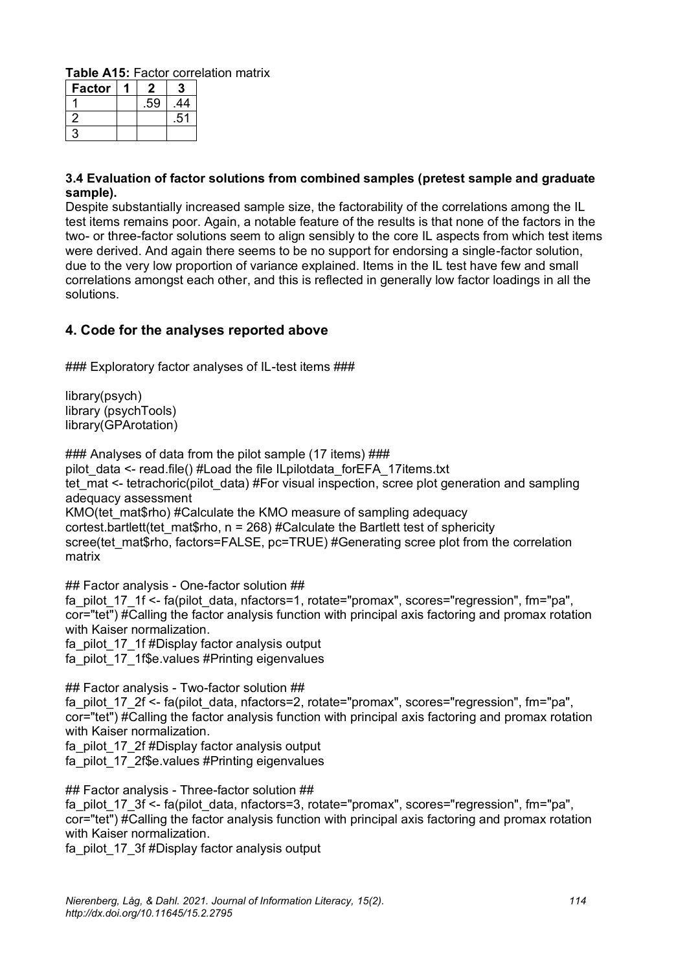**Table A15:** Factor correlation matrix

| <b>Factor</b> |     |    |
|---------------|-----|----|
|               | .59 | 44 |
|               |     | 51 |
|               |     |    |

#### **3.4 Evaluation of factor solutions from combined samples (pretest sample and graduate sample).**

Despite substantially increased sample size, the factorability of the correlations among the IL test items remains poor. Again, a notable feature of the results is that none of the factors in the two- or three-factor solutions seem to align sensibly to the core IL aspects from which test items were derived. And again there seems to be no support for endorsing a single-factor solution, due to the very low proportion of variance explained. Items in the IL test have few and small correlations amongst each other, and this is reflected in generally low factor loadings in all the solutions.

### <span id="page-37-0"></span>**4. Code for the analyses reported above**

### Exploratory factor analyses of IL-test items ###

library(psych) library (psychTools) library(GPArotation)

### Analyses of data from the pilot sample (17 items) ### pilot\_data <- read.file() #Load the file ILpilotdata\_forEFA\_17items.txt tet mat <- tetrachoric(pilot data) #For visual inspection, scree plot generation and sampling adequacy assessment KMO(tet\_mat\$rho) #Calculate the KMO measure of sampling adequacy cortest.bartlett(tet\_mat\$rho,  $n = 268$ ) #Calculate the Bartlett test of sphericity scree(tet\_mat\$rho, factors=FALSE, pc=TRUE) #Generating scree plot from the correlation matrix

## Factor analysis - One-factor solution ## fa\_pilot\_17\_1f <- fa(pilot\_data, nfactors=1, rotate="promax", scores="regression", fm="pa", cor="tet") #Calling the factor analysis function with principal axis factoring and promax rotation with Kaiser normalization. fa\_pilot\_17\_1f #Display factor analysis output fa\_pilot\_17\_1f\$e.values #Printing eigenvalues

## Factor analysis - Two-factor solution ## fa\_pilot\_17\_2f <- fa(pilot\_data, nfactors=2, rotate="promax", scores="regression", fm="pa", cor="tet") #Calling the factor analysis function with principal axis factoring and promax rotation with Kaiser normalization.

fa\_pilot\_17\_2f #Display factor analysis output fa\_pilot\_17\_2f\$e.values #Printing eigenvalues

## Factor analysis - Three-factor solution ##

fa\_pilot\_17\_3f <- fa(pilot\_data, nfactors=3, rotate="promax", scores="regression", fm="pa", cor="tet") #Calling the factor analysis function with principal axis factoring and promax rotation with Kaiser normalization.

fa\_pilot\_17\_3f #Display factor analysis output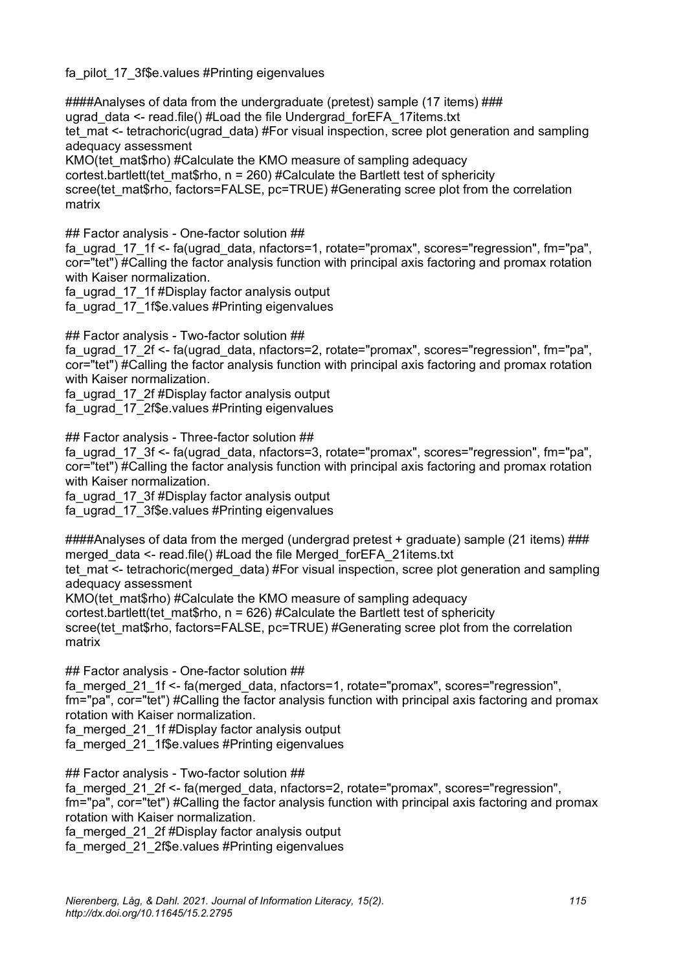fa\_pilot\_17\_3f\$e.values #Printing eigenvalues

####Analyses of data from the undergraduate (pretest) sample (17 items) ### ugrad data <- read.file() #Load the file Undergrad forEFA\_17items.txt tet mat <- tetrachoric(ugrad data) #For visual inspection, scree plot generation and sampling adequacy assessment KMO(tet\_mat\$rho) #Calculate the KMO measure of sampling adequacy cortest.bartlett(tet\_mat\$rho, n = 260) #Calculate the Bartlett test of sphericity scree(tet\_mat\$rho, factors=FALSE, pc=TRUE) #Generating scree plot from the correlation matrix

## Factor analysis - One-factor solution ##

fa\_ugrad\_17\_1f <- fa(ugrad\_data, nfactors=1, rotate="promax", scores="regression", fm="pa", cor="tet") #Calling the factor analysis function with principal axis factoring and promax rotation with Kaiser normalization.

fa\_ugrad\_17\_1f #Display factor analysis output

fa\_ugrad\_17\_1f\$e.values #Printing eigenvalues

## Factor analysis - Two-factor solution ##

fa\_ugrad\_17\_2f <- fa(ugrad\_data, nfactors=2, rotate="promax", scores="regression", fm="pa", cor="tet") #Calling the factor analysis function with principal axis factoring and promax rotation with Kaiser normalization.

fa\_ugrad\_17\_2f #Display factor analysis output

fa\_ugrad\_17\_2f\$e.values #Printing eigenvalues

## Factor analysis - Three-factor solution ##

fa\_ugrad\_17\_3f <- fa(ugrad\_data, nfactors=3, rotate="promax", scores="regression", fm="pa", cor="tet") #Calling the factor analysis function with principal axis factoring and promax rotation with Kaiser normalization.

fa\_ugrad\_17\_3f #Display factor analysis output

fa\_ugrad\_17\_3f\$e.values #Printing eigenvalues

 $\# \# \#$ Analyses of data from the merged (undergrad pretest + graduate) sample (21 items)  $\# \# \#$ merged\_data <- read.file() #Load the file Merged\_forEFA\_21items.txt

tet mat <- tetrachoric(merged data) #For visual inspection, scree plot generation and sampling adequacy assessment

KMO (tet mat\$rho) #Calculate the KMO measure of sampling adequacy

cortest.bartlett(tet\_mat\$rho,  $n = 626$ ) #Calculate the Bartlett test of sphericity

scree(tet\_mat\$rho, factors=FALSE, pc=TRUE) #Generating scree plot from the correlation matrix

## Factor analysis - One-factor solution ##

fa\_merged\_21\_1f <- fa(merged\_data, nfactors=1, rotate="promax", scores="regression", fm="pa", cor="tet") #Calling the factor analysis function with principal axis factoring and promax rotation with Kaiser normalization.

fa\_merged\_21\_1f #Display factor analysis output

fa\_merged\_21\_1f\$e.values #Printing eigenvalues

## Factor analysis - Two-factor solution ##

fa\_merged\_21\_2f <- fa(merged\_data, nfactors=2, rotate="promax", scores="regression", fm="pa", cor="tet") #Calling the factor analysis function with principal axis factoring and promax rotation with Kaiser normalization.

fa\_merged\_21\_2f #Display factor analysis output

fa\_merged\_21\_2f\$e.values #Printing eigenvalues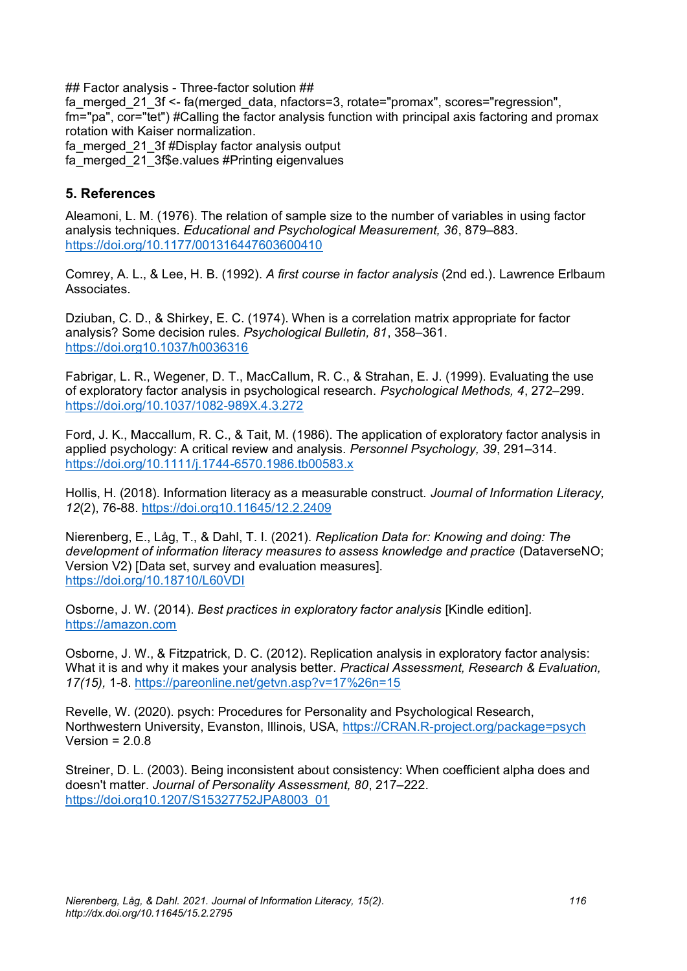## Factor analysis - Three-factor solution ##

fa\_merged\_21\_3f <- fa(merged\_data, nfactors=3, rotate="promax", scores="regression", fm="pa", cor="tet") #Calling the factor analysis function with principal axis factoring and promax rotation with Kaiser normalization.

fa\_merged\_21\_3f #Display factor analysis output

fa\_merged\_21\_3f\$e.values #Printing eigenvalues

## <span id="page-39-0"></span>**5. References**

Aleamoni, L. M. (1976). The relation of sample size to the number of variables in using factor analysis techniques. *Educational and Psychological Measurement, 36*, 879–883. <https://doi.org/10.1177/001316447603600410>

Comrey, A. L., & Lee, H. B. (1992). *A first course in factor analysis* (2nd ed.). Lawrence Erlbaum **Associates** 

Dziuban, C. D., & Shirkey, E. C. (1974). When is a correlation matrix appropriate for factor analysis? Some decision rules. *Psychological Bulletin, 81*, 358–361. <https://doi.org10.1037/h0036316>

Fabrigar, L. R., Wegener, D. T., MacCallum, R. C., & Strahan, E. J. (1999). Evaluating the use of exploratory factor analysis in psychological research. *Psychological Methods, 4*, 272–299. <https://doi.org/10.1037/1082-989X.4.3.272>

Ford, J. K., Maccallum, R. C., & Tait, M. (1986). The application of exploratory factor analysis in applied psychology: A critical review and analysis. *Personnel Psychology, 39*, 291–314. <https://doi.org/10.1111/j.1744-6570.1986.tb00583.x>

Hollis, H. (2018). Information literacy as a measurable construct. *Journal of Information Literacy, 12*(2), 76-88[. https://doi.org10.11645/12.2.2409](https://doi.org10.11645/12.2.2409)

Nierenberg, E., Låg, T., & Dahl, T. I. (2021). *Replication Data for: Knowing and doing: The development of information literacy measures to assess knowledge and practice* (DataverseNO; Version V2) [Data set, survey and evaluation measures]. [https://doi.org/10.18710/L60VDI](https://eur01.safelinks.protection.outlook.com/?url=https%3A%2F%2Fdoi.org%2F10.18710%2FL60VDI&data=04%7C01%7C%7Caf1e148d323c47f428c208d8e241a0ee%7C1faf88fea9984c5b93c9210a11d9a5c2%7C0%7C0%7C637508118805653853%7CUnknown%7CTWFpbGZsb3d8eyJWIjoiMC4wLjAwMDAiLCJQIjoiV2luMzIiLCJBTiI6Ik1haWwiLCJXVCI6Mn0%3D%7C1000&sdata=jH1LDdT8dvm9cgzVYG90Zes9z%2BXJRao%2FCCvPdbz5jY8%3D&reserved=0)

Osborne, J. W. (2014). *Best practices in exploratory factor analysis* [Kindle edition]. [https://amazon.com](https://amazon.com/)

Osborne, J. W., & Fitzpatrick, D. C. (2012). Replication analysis in exploratory factor analysis: What it is and why it makes your analysis better. *Practical Assessment, Research & Evaluation, 17(15),* 1-8.<https://pareonline.net/getvn.asp?v=17%26n=15>

Revelle, W. (2020). psych: Procedures for Personality and Psychological Research, Northwestern University, Evanston, Illinois, USA, [https://CRAN.R-project.org/package=psych](https://cran.r-project.org/package=psych)  Version  $= 2.0.8$ 

Streiner, D. L. (2003). Being inconsistent about consistency: When coefficient alpha does and doesn't matter. *Journal of Personality Assessment, 80*, 217–222. [https://doi.org10.1207/S15327752JPA8003\\_01](https://doi.org10.1207/S15327752JPA8003_01)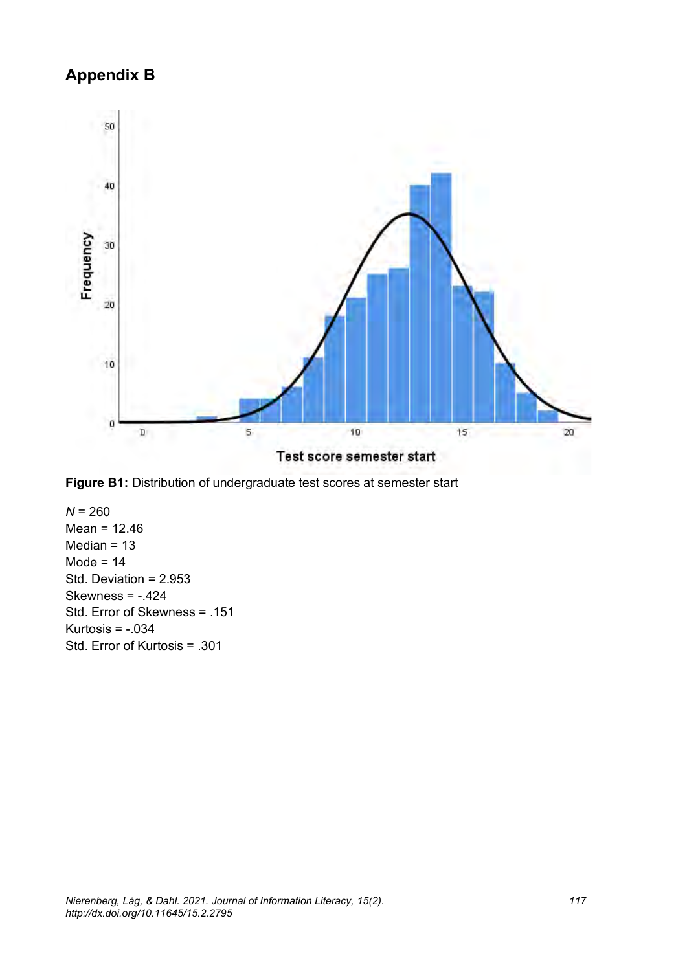## **Appendix B**





 $N = 260$ Mean = 12.46 Median = 13 Mode =  $14$ Std. Deviation = 2.953 Skewness =  $-.424$ Std. Error of Skewness = .151 Kurtosis =  $-.034$ Std. Error of Kurtosis = .301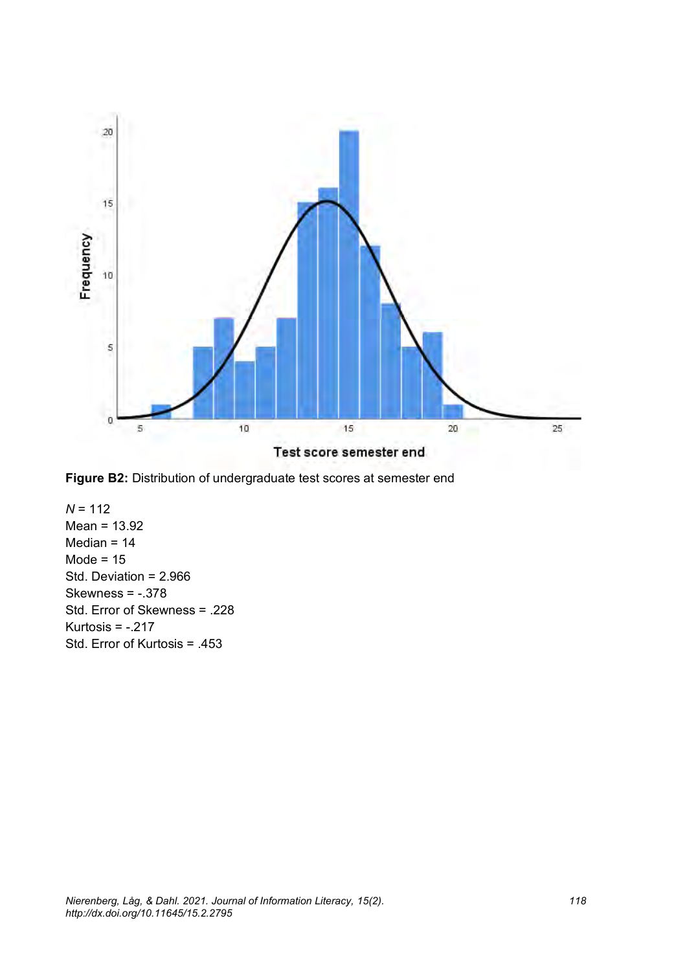



*N* = 112 Mean = 13.92 Median  $= 14$ Mode =  $15$ Std. Deviation = 2.966 Skewness = -.378 Std. Error of Skewness = .228 Kurtosis =  $-.217$ Std. Error of Kurtosis = .453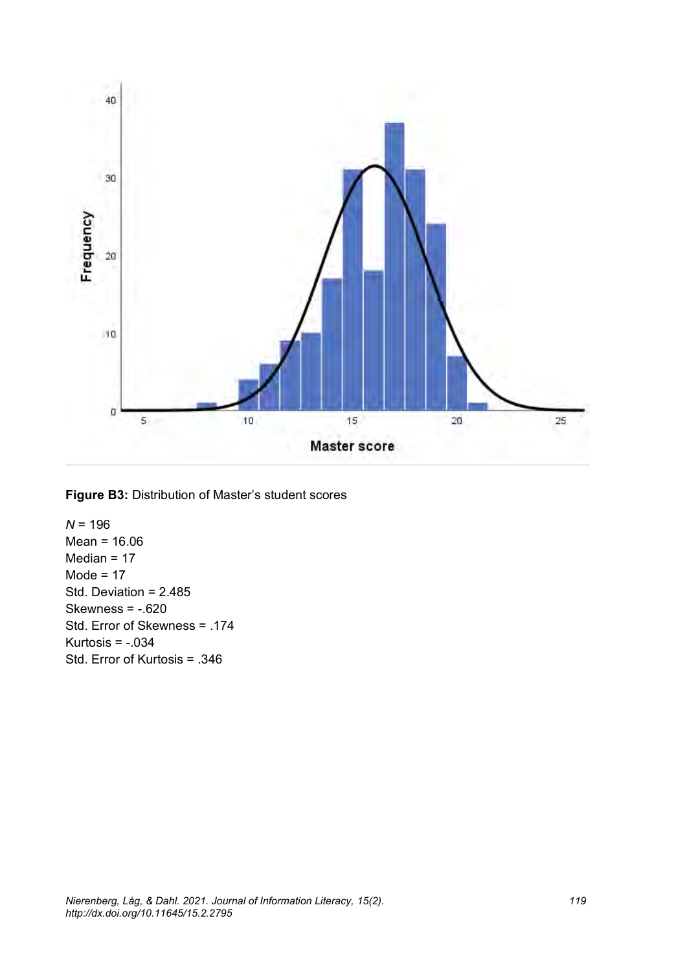

**Figure B3:** Distribution of Master's student scores

*N* = 196 Mean = 16.06 Median = 17 Mode =  $17$ Std. Deviation = 2.485 Skewness =  $-.620$ Std. Error of Skewness = .174 Kurtosis =  $-.034$ Std. Error of Kurtosis = .346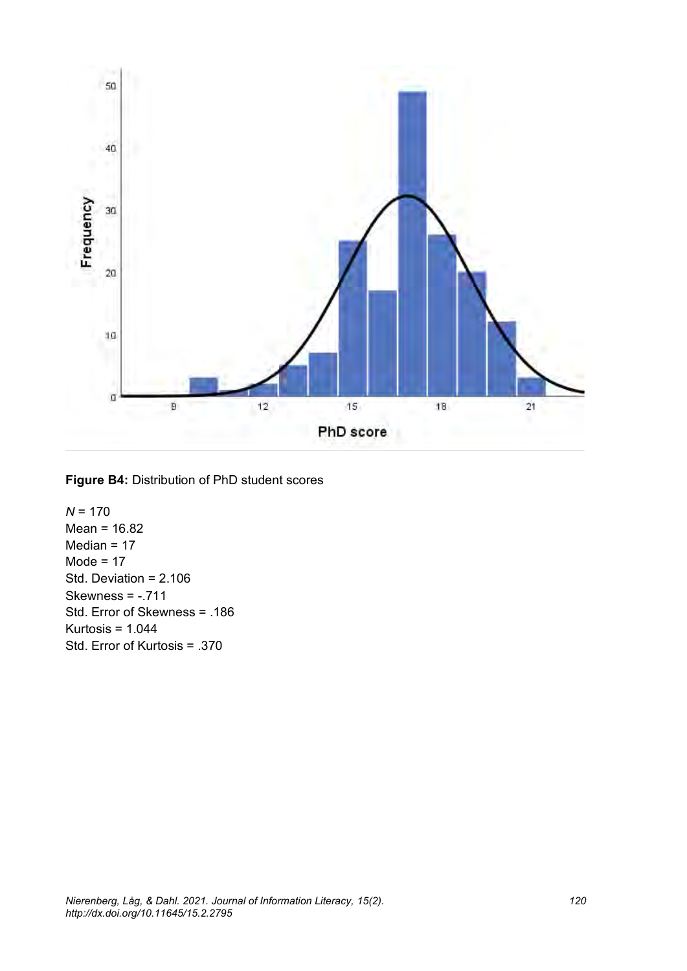

**Figure B4:** Distribution of PhD student scores

*N* = 170 Mean = 16.82 Median = 17  $Mode = 17$ Std. Deviation = 2.106 Skewness = -.711 Std. Error of Skewness = .186 Kurtosis = 1.044 Std. Error of Kurtosis = .370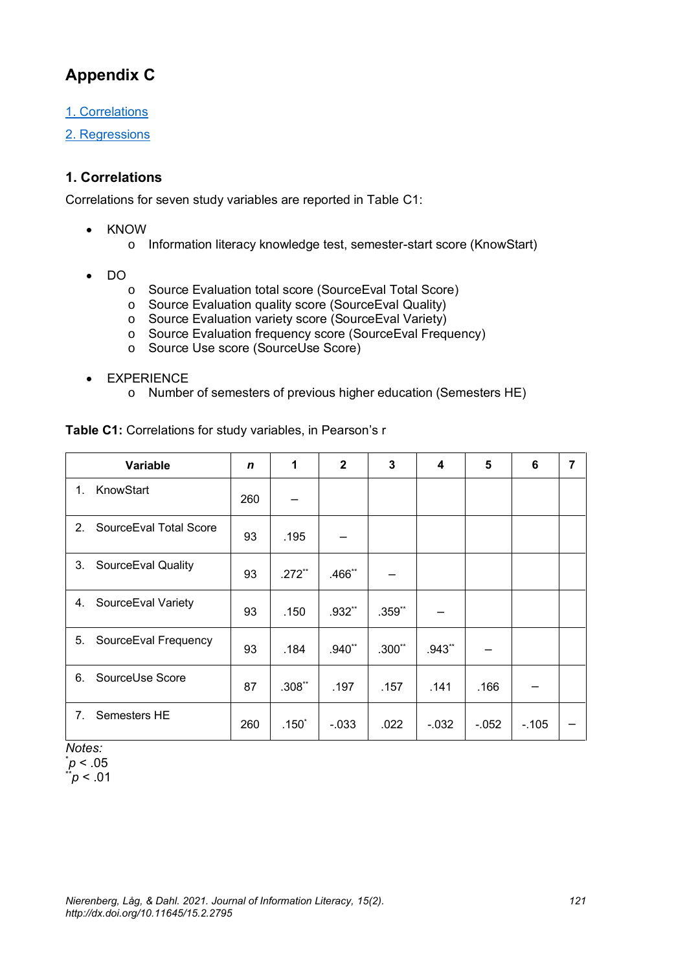## **Appendix C**

[1. Correlations](#page-44-0)

[2. Regressions](#page-45-0)

### <span id="page-44-0"></span>**1. Correlations**

Correlations for seven study variables are reported in Table C1:

- KNOW
	- o Information literacy knowledge test, semester-start score (KnowStart)
- DO
	- o Source Evaluation total score (SourceEval Total Score)
	- o Source Evaluation quality score (SourceEval Quality)
	- o Source Evaluation variety score (SourceEval Variety)
	- o Source Evaluation frequency score (SourceEval Frequency)
	- o Source Use score (SourceUse Score)
- EXPERIENCE
	- o Number of semesters of previous higher education (Semesters HE)

|    | Variable               | $\mathbf n$ | 1        | $\overline{2}$ | 3        | 4        | 5       | 6       | 7 |
|----|------------------------|-------------|----------|----------------|----------|----------|---------|---------|---|
| 1. | KnowStart              | 260         |          |                |          |          |         |         |   |
| 2. | SourceEval Total Score | 93          | .195     |                |          |          |         |         |   |
| 3. | SourceEval Quality     | 93          | $.272**$ | .466**         |          |          |         |         |   |
| 4. | SourceEval Variety     | 93          | .150     | .932**         | $.359**$ |          |         |         |   |
| 5. | SourceEval Frequency   | 93          | .184     | $.940**$       | $.300**$ | $.943**$ |         |         |   |
| 6. | SourceUse Score        | 87          | $.308**$ | .197           | .157     | .141     | .166    |         |   |
| 7. | Semesters HE           | 260         | $.150*$  | $-0.033$       | .022     | $-0.032$ | $-.052$ | $-.105$ |   |

**Table C1:** Correlations for study variables, in Pearson's r

*Notes:* \**p* < .05

 $p < 0.01$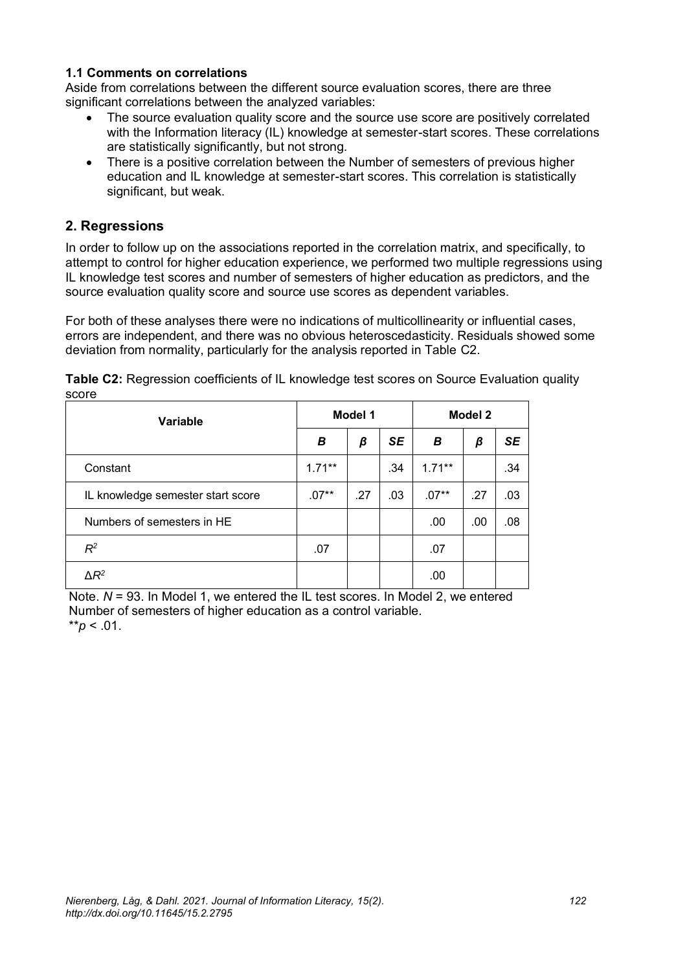#### **1.1 Comments on correlations**

Aside from correlations between the different source evaluation scores, there are three significant correlations between the analyzed variables:

- The source evaluation quality score and the source use score are positively correlated with the Information literacy (IL) knowledge at semester-start scores. These correlations are statistically significantly, but not strong.
- There is a positive correlation between the Number of semesters of previous higher education and IL knowledge at semester-start scores. This correlation is statistically significant, but weak.

#### <span id="page-45-0"></span>**2. Regressions**

In order to follow up on the associations reported in the correlation matrix, and specifically, to attempt to control for higher education experience, we performed two multiple regressions using IL knowledge test scores and number of semesters of higher education as predictors, and the source evaluation quality score and source use scores as dependent variables.

For both of these analyses there were no indications of multicollinearity or influential cases, errors are independent, and there was no obvious heteroscedasticity. Residuals showed some deviation from normality, particularly for the analysis reported in Table C2.

| Variable                          | Model 1   |     |     | Model 2   |     |           |
|-----------------------------------|-----------|-----|-----|-----------|-----|-----------|
|                                   | В         | β   | SE  | В         | β   | <b>SE</b> |
| Constant                          | $1.71***$ |     | .34 | $1.71***$ |     | .34       |
| IL knowledge semester start score | $.07**$   | .27 | .03 | $.07**$   | .27 | .03       |
| Numbers of semesters in HE        |           |     |     | .00       | .00 | .08       |
| $R^2$                             | .07       |     |     | .07       |     |           |
| $\Delta R^2$                      |           |     |     | .00       |     |           |

**Table C2:** Regression coefficients of IL knowledge test scores on Source Evaluation quality score

Note.  $N = 93$ . In Model 1, we entered the IL test scores. In Model 2, we entered Number of semesters of higher education as a control variable.  $*$ *r* $> 01$ .